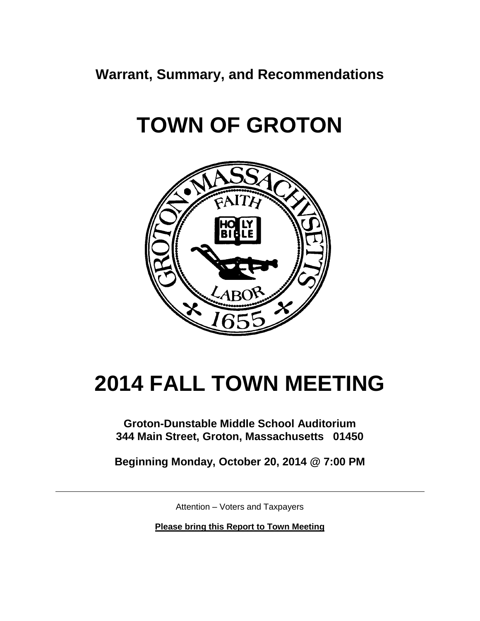**Warrant, Summary, and Recommendations**

# **TOWN OF GROTON**



# **2014 FALL TOWN MEETING**

### **Groton-Dunstable Middle School Auditorium 344 Main Street, Groton, Massachusetts 01450**

**Beginning Monday, October 20, 2014 @ 7:00 PM**

Attention – Voters and Taxpayers

**Please bring this Report to Town Meeting**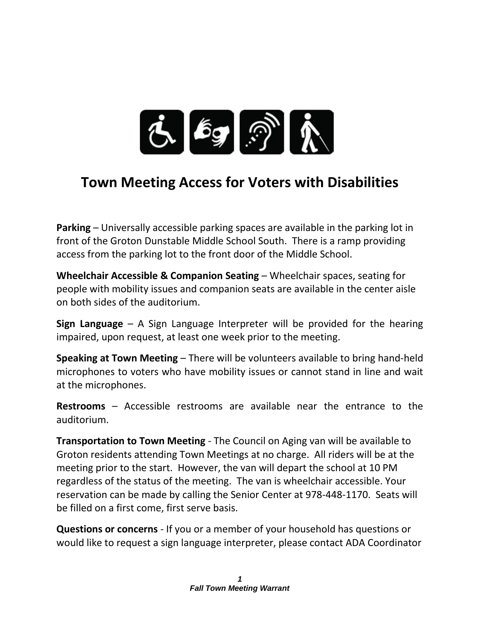

## **Town Meeting Access for Voters with Disabilities**

**Parking** – Universally accessible parking spaces are available in the parking lot in front of the Groton Dunstable Middle School South. There is a ramp providing access from the parking lot to the front door of the Middle School.

**Wheelchair Accessible & Companion Seating** – Wheelchair spaces, seating for people with mobility issues and companion seats are available in the center aisle on both sides of the auditorium.

**Sign Language** – A Sign Language Interpreter will be provided for the hearing impaired, upon request, at least one week prior to the meeting.

**Speaking at Town Meeting** – There will be volunteers available to bring hand-held microphones to voters who have mobility issues or cannot stand in line and wait at the microphones.

**Restrooms** – Accessible restrooms are available near the entrance to the auditorium.

**Transportation to Town Meeting** - The Council on Aging van will be available to Groton residents attending Town Meetings at no charge. All riders will be at the meeting prior to the start. However, the van will depart the school at 10 PM regardless of the status of the meeting. The van is wheelchair accessible. Your reservation can be made by calling the Senior Center at 978-448-1170. Seats will be filled on a first come, first serve basis.

**Questions or concerns** - If you or a member of your household has questions or would like to request a sign language interpreter, please contact ADA Coordinator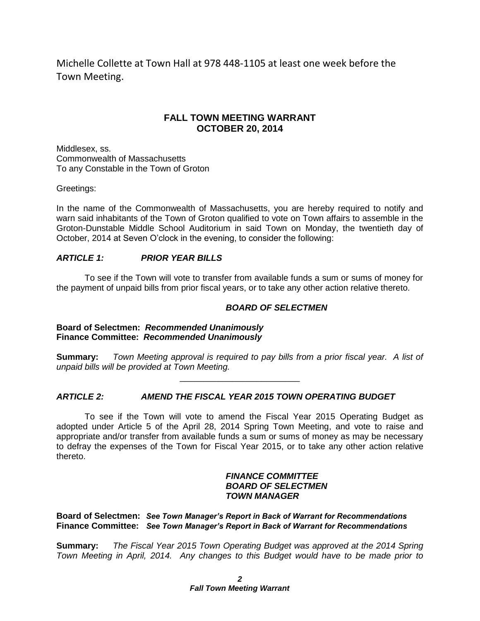Michelle Collette at Town Hall at 978 448-1105 at least one week before the Town Meeting.

#### **FALL TOWN MEETING WARRANT OCTOBER 20, 2014**

Middlesex, ss. Commonwealth of Massachusetts To any Constable in the Town of Groton

Greetings:

In the name of the Commonwealth of Massachusetts, you are hereby required to notify and warn said inhabitants of the Town of Groton qualified to vote on Town affairs to assemble in the Groton-Dunstable Middle School Auditorium in said Town on Monday, the twentieth day of October, 2014 at Seven O'clock in the evening, to consider the following:

#### *ARTICLE 1: PRIOR YEAR BILLS*

To see if the Town will vote to transfer from available funds a sum or sums of money for the payment of unpaid bills from prior fiscal years, or to take any other action relative thereto.

#### *BOARD OF SELECTMEN*

**Board of Selectmen:** *Recommended Unanimously* **Finance Committee:** *Recommended Unanimously*

**Summary:** *Town Meeting approval is required to pay bills from a prior fiscal year. A list of unpaid bills will be provided at Town Meeting.* \_\_\_\_\_\_\_\_\_\_\_\_\_\_\_\_\_\_\_\_\_\_\_\_\_

#### *ARTICLE 2: AMEND THE FISCAL YEAR 2015 TOWN OPERATING BUDGET*

To see if the Town will vote to amend the Fiscal Year 2015 Operating Budget as adopted under Article 5 of the April 28, 2014 Spring Town Meeting, and vote to raise and appropriate and/or transfer from available funds a sum or sums of money as may be necessary to defray the expenses of the Town for Fiscal Year 2015, or to take any other action relative thereto.

#### *FINANCE COMMITTEE BOARD OF SELECTMEN TOWN MANAGER*

**Board of Selectmen:** *See Town Manager's Report in Back of Warrant for Recommendations* **Finance Committee:** *See Town Manager's Report in Back of Warrant for Recommendations*

**Summary:** *The Fiscal Year 2015 Town Operating Budget was approved at the 2014 Spring Town Meeting in April, 2014. Any changes to this Budget would have to be made prior to*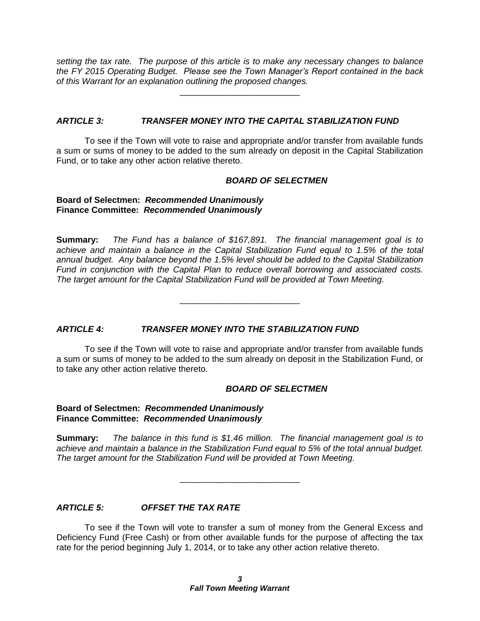*setting the tax rate. The purpose of this article is to make any necessary changes to balance the FY 2015 Operating Budget. Please see the Town Manager's Report contained in the back of this Warrant for an explanation outlining the proposed changes.*

\_\_\_\_\_\_\_\_\_\_\_\_\_\_\_\_\_\_\_\_\_\_\_\_\_

#### *ARTICLE 3: TRANSFER MONEY INTO THE CAPITAL STABILIZATION FUND*

To see if the Town will vote to raise and appropriate and/or transfer from available funds a sum or sums of money to be added to the sum already on deposit in the Capital Stabilization Fund, or to take any other action relative thereto.

#### *BOARD OF SELECTMEN*

#### **Board of Selectmen:** *Recommended Unanimously* **Finance Committee:** *Recommended Unanimously*

**Summary:** *The Fund has a balance of \$167,891. The financial management goal is to achieve and maintain a balance in the Capital Stabilization Fund equal to 1.5% of the total annual budget. Any balance beyond the 1.5% level should be added to the Capital Stabilization Fund in conjunction with the Capital Plan to reduce overall borrowing and associated costs. The target amount for the Capital Stabilization Fund will be provided at Town Meeting.*

\_\_\_\_\_\_\_\_\_\_\_\_\_\_\_\_\_\_\_\_\_\_\_\_\_

#### *ARTICLE 4: TRANSFER MONEY INTO THE STABILIZATION FUND*

To see if the Town will vote to raise and appropriate and/or transfer from available funds a sum or sums of money to be added to the sum already on deposit in the Stabilization Fund, or to take any other action relative thereto.

#### *BOARD OF SELECTMEN*

#### **Board of Selectmen:** *Recommended Unanimously* **Finance Committee:** *Recommended Unanimously*

**Summary:** *The balance in this fund is \$1.46 million. The financial management goal is to achieve and maintain a balance in the Stabilization Fund equal to 5% of the total annual budget. The target amount for the Stabilization Fund will be provided at Town Meeting.*

\_\_\_\_\_\_\_\_\_\_\_\_\_\_\_\_\_\_\_\_\_\_\_\_\_

#### *ARTICLE 5: OFFSET THE TAX RATE*

To see if the Town will vote to transfer a sum of money from the General Excess and Deficiency Fund (Free Cash) or from other available funds for the purpose of affecting the tax rate for the period beginning July 1, 2014, or to take any other action relative thereto.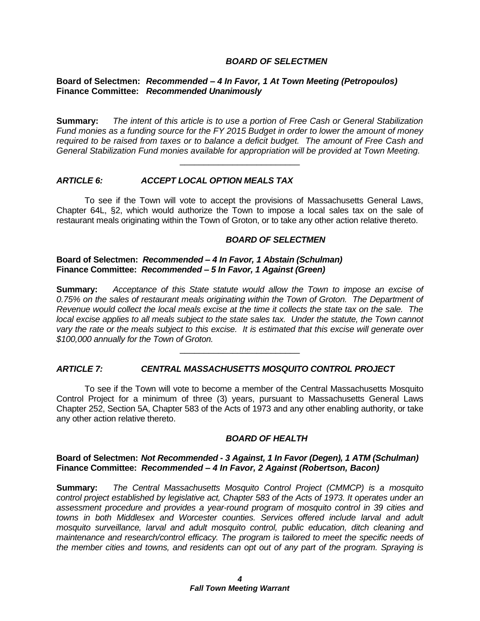#### *BOARD OF SELECTMEN*

#### **Board of Selectmen:** *Recommended – 4 In Favor, 1 At Town Meeting (Petropoulos)* **Finance Committee:** *Recommended Unanimously*

**Summary:** *The intent of this article is to use a portion of Free Cash or General Stabilization Fund monies as a funding source for the FY 2015 Budget in order to lower the amount of money required to be raised from taxes or to balance a deficit budget. The amount of Free Cash and General Stabilization Fund monies available for appropriation will be provided at Town Meeting.*

\_\_\_\_\_\_\_\_\_\_\_\_\_\_\_\_\_\_\_\_\_\_\_\_\_

#### *ARTICLE 6: ACCEPT LOCAL OPTION MEALS TAX*

To see if the Town will vote to accept the provisions of Massachusetts General Laws, Chapter 64L, §2, which would authorize the Town to impose a local sales tax on the sale of restaurant meals originating within the Town of Groton, or to take any other action relative thereto.

#### *BOARD OF SELECTMEN*

#### **Board of Selectmen:** *Recommended – 4 In Favor, 1 Abstain (Schulman)* **Finance Committee:** *Recommended – 5 In Favor, 1 Against (Green)*

**Summary:** *Acceptance of this State statute would allow the Town to impose an excise of 0.75% on the sales of restaurant meals originating within the Town of Groton. The Department of Revenue would collect the local meals excise at the time it collects the state tax on the sale. The local excise applies to all meals subject to the state sales tax. Under the statute, the Town cannot vary the rate or the meals subject to this excise. It is estimated that this excise will generate over \$100,000 annually for the Town of Groton.*

\_\_\_\_\_\_\_\_\_\_\_\_\_\_\_\_\_\_\_\_\_\_\_\_\_

#### *ARTICLE 7: CENTRAL MASSACHUSETTS MOSQUITO CONTROL PROJECT*

To see if the Town will vote to become a member of the Central Massachusetts Mosquito Control Project for a minimum of three (3) years, pursuant to Massachusetts General Laws Chapter 252, Section 5A, Chapter 583 of the Acts of 1973 and any other enabling authority, or take any other action relative thereto.

#### *BOARD OF HEALTH*

#### **Board of Selectmen:** *Not Recommended - 3 Against, 1 In Favor (Degen), 1 ATM (Schulman)* **Finance Committee:** *Recommended – 4 In Favor, 2 Against (Robertson, Bacon)*

**Summary:** *The Central Massachusetts Mosquito Control Project (CMMCP) is a mosquito control project established by legislative act, Chapter 583 of the Acts of 1973. It operates under an assessment procedure and provides a year-round program of mosquito control in 39 cities and towns in both Middlesex and Worcester counties. Services offered include larval and adult mosquito surveillance, larval and adult mosquito control, public education, ditch cleaning and maintenance and research/control efficacy. The program is tailored to meet the specific needs of the member cities and towns, and residents can opt out of any part of the program. Spraying is*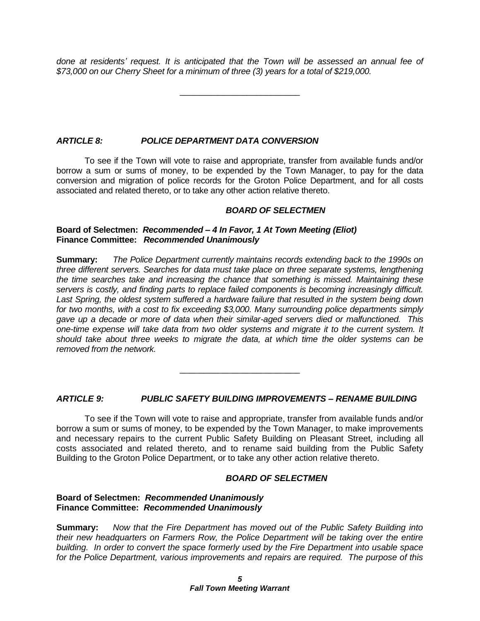*done at residents' request. It is anticipated that the Town will be assessed an annual fee of \$73,000 on our Cherry Sheet for a minimum of three (3) years for a total of \$219,000.* 

\_\_\_\_\_\_\_\_\_\_\_\_\_\_\_\_\_\_\_\_\_\_\_\_\_

#### *ARTICLE 8: POLICE DEPARTMENT DATA CONVERSION*

To see if the Town will vote to raise and appropriate, transfer from available funds and/or borrow a sum or sums of money, to be expended by the Town Manager, to pay for the data conversion and migration of police records for the Groton Police Department, and for all costs associated and related thereto, or to take any other action relative thereto.

#### *BOARD OF SELECTMEN*

#### **Board of Selectmen:** *Recommended – 4 In Favor, 1 At Town Meeting (Eliot)* **Finance Committee:** *Recommended Unanimously*

**Summary:** *The Police Department currently maintains records extending back to the 1990s on three different servers. Searches for data must take place on three separate systems, lengthening the time searches take and increasing the chance that something is missed. Maintaining these servers is costly, and finding parts to replace failed components is becoming increasingly difficult. Last Spring, the oldest system suffered a hardware failure that resulted in the system being down for two months, with a cost to fix exceeding \$3,000. Many surrounding police departments simply gave up a decade or more of data when their similar-aged servers died or malfunctioned. This one-time expense will take data from two older systems and migrate it to the current system. It should take about three weeks to migrate the data, at which time the older systems can be removed from the network.*

#### *ARTICLE 9: PUBLIC SAFETY BUILDING IMPROVEMENTS – RENAME BUILDING*

\_\_\_\_\_\_\_\_\_\_\_\_\_\_\_\_\_\_\_\_\_\_\_\_\_

To see if the Town will vote to raise and appropriate, transfer from available funds and/or borrow a sum or sums of money, to be expended by the Town Manager, to make improvements and necessary repairs to the current Public Safety Building on Pleasant Street, including all costs associated and related thereto, and to rename said building from the Public Safety Building to the Groton Police Department, or to take any other action relative thereto.

#### *BOARD OF SELECTMEN*

#### **Board of Selectmen:** *Recommended Unanimously* **Finance Committee:** *Recommended Unanimously*

**Summary:** *Now that the Fire Department has moved out of the Public Safety Building into their new headquarters on Farmers Row, the Police Department will be taking over the entire building. In order to convert the space formerly used by the Fire Department into usable space for the Police Department, various improvements and repairs are required. The purpose of this*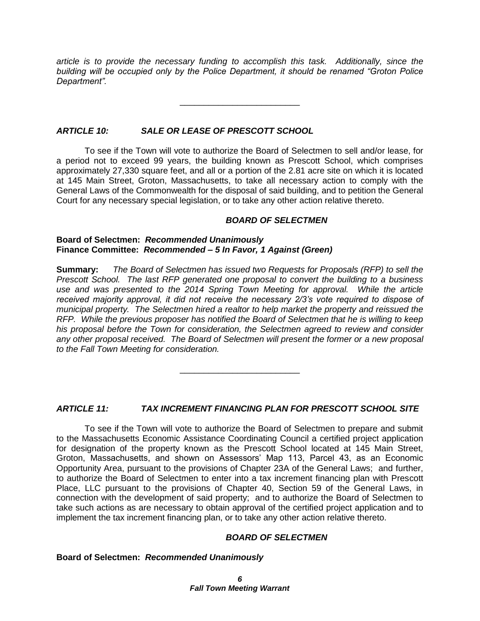*article is to provide the necessary funding to accomplish this task. Additionally, since the building will be occupied only by the Police Department, it should be renamed "Groton Police Department".*

\_\_\_\_\_\_\_\_\_\_\_\_\_\_\_\_\_\_\_\_\_\_\_\_\_

#### *ARTICLE 10: SALE OR LEASE OF PRESCOTT SCHOOL*

To see if the Town will vote to authorize the Board of Selectmen to sell and/or lease, for a period not to exceed 99 years, the building known as Prescott School, which comprises approximately 27,330 square feet, and all or a portion of the 2.81 acre site on which it is located at 145 Main Street, Groton, Massachusetts, to take all necessary action to comply with the General Laws of the Commonwealth for the disposal of said building, and to petition the General Court for any necessary special legislation, or to take any other action relative thereto.

#### *BOARD OF SELECTMEN*

#### **Board of Selectmen:** *Recommended Unanimously* **Finance Committee:** *Recommended – 5 In Favor, 1 Against (Green)*

**Summary:** *The Board of Selectmen has issued two Requests for Proposals (RFP) to sell the Prescott School. The last RFP generated one proposal to convert the building to a business*  use and was presented to the 2014 Spring Town Meeting for approval. While the article *received majority approval, it did not receive the necessary 2/3's vote required to dispose of municipal property. The Selectmen hired a realtor to help market the property and reissued the RFP. While the previous proposer has notified the Board of Selectmen that he is willing to keep his proposal before the Town for consideration, the Selectmen agreed to review and consider any other proposal received. The Board of Selectmen will present the former or a new proposal to the Fall Town Meeting for consideration.*

#### *ARTICLE 11: TAX INCREMENT FINANCING PLAN FOR PRESCOTT SCHOOL SITE*

\_\_\_\_\_\_\_\_\_\_\_\_\_\_\_\_\_\_\_\_\_\_\_\_\_

To see if the Town will vote to authorize the Board of Selectmen to prepare and submit to the Massachusetts Economic Assistance Coordinating Council a certified project application for designation of the property known as the Prescott School located at 145 Main Street, Groton, Massachusetts, and shown on Assessors' Map 113, Parcel 43, as an Economic Opportunity Area, pursuant to the provisions of Chapter 23A of the General Laws; and further, to authorize the Board of Selectmen to enter into a tax increment financing plan with Prescott Place, LLC pursuant to the provisions of Chapter 40, Section 59 of the General Laws, in connection with the development of said property; and to authorize the Board of Selectmen to take such actions as are necessary to obtain approval of the certified project application and to implement the tax increment financing plan, or to take any other action relative thereto.

#### *BOARD OF SELECTMEN*

#### **Board of Selectmen:** *Recommended Unanimously*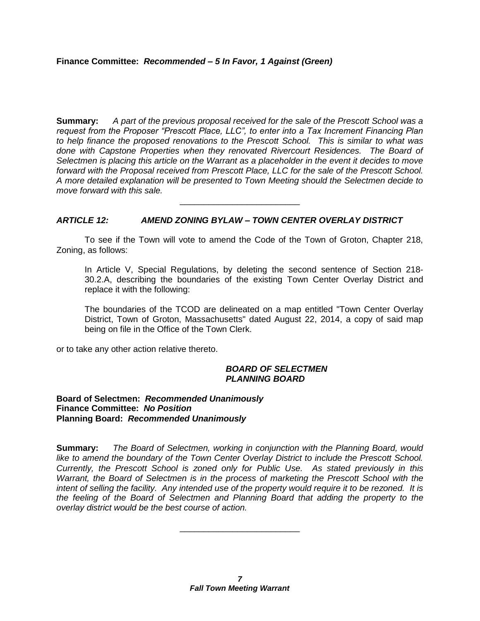**Summary:** *A part of the previous proposal received for the sale of the Prescott School was a request from the Proposer "Prescott Place, LLC", to enter into a Tax Increment Financing Plan to help finance the proposed renovations to the Prescott School. This is similar to what was done with Capstone Properties when they renovated Rivercourt Residences. The Board of Selectmen is placing this article on the Warrant as a placeholder in the event it decides to move forward with the Proposal received from Prescott Place, LLC for the sale of the Prescott School. A more detailed explanation will be presented to Town Meeting should the Selectmen decide to move forward with this sale.*

#### *ARTICLE 12: AMEND ZONING BYLAW – TOWN CENTER OVERLAY DISTRICT*

To see if the Town will vote to amend the Code of the Town of Groton, Chapter 218, Zoning, as follows:

\_\_\_\_\_\_\_\_\_\_\_\_\_\_\_\_\_\_\_\_\_\_\_\_\_

In Article V, Special Regulations, by deleting the second sentence of Section 218- 30.2.A, describing the boundaries of the existing Town Center Overlay District and replace it with the following:

The boundaries of the TCOD are delineated on a map entitled "Town Center Overlay District, Town of Groton, Massachusetts" dated August 22, 2014, a copy of said map being on file in the Office of the Town Clerk.

or to take any other action relative thereto.

#### *BOARD OF SELECTMEN PLANNING BOARD*

#### **Board of Selectmen:** *Recommended Unanimously* **Finance Committee:** *No Position* **Planning Board:** *Recommended Unanimously*

**Summary:** *The Board of Selectmen, working in conjunction with the Planning Board, would like to amend the boundary of the Town Center Overlay District to include the Prescott School. Currently, the Prescott School is zoned only for Public Use. As stated previously in this Warrant, the Board of Selectmen is in the process of marketing the Prescott School with the intent of selling the facility. Any intended use of the property would require it to be rezoned. It is the feeling of the Board of Selectmen and Planning Board that adding the property to the overlay district would be the best course of action.*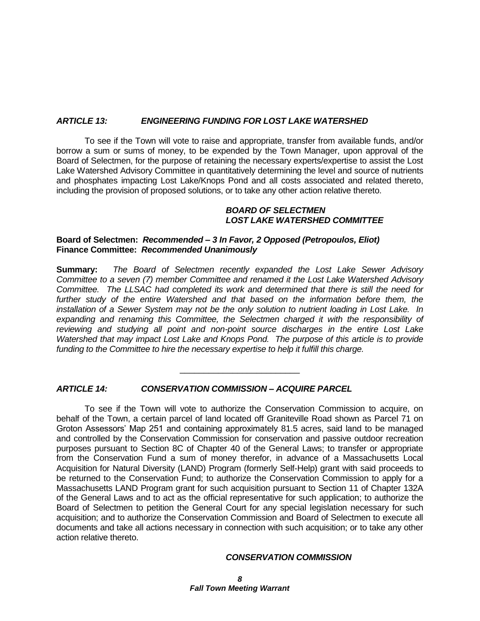#### *ARTICLE 13: ENGINEERING FUNDING FOR LOST LAKE WATERSHED*

To see if the Town will vote to raise and appropriate, transfer from available funds, and/or borrow a sum or sums of money, to be expended by the Town Manager, upon approval of the Board of Selectmen, for the purpose of retaining the necessary experts/expertise to assist the Lost Lake Watershed Advisory Committee in quantitatively determining the level and source of nutrients and phosphates impacting Lost Lake/Knops Pond and all costs associated and related thereto, including the provision of proposed solutions, or to take any other action relative thereto.

#### *BOARD OF SELECTMEN LOST LAKE WATERSHED COMMITTEE*

#### **Board of Selectmen:** *Recommended – 3 In Favor, 2 Opposed (Petropoulos, Eliot)* **Finance Committee:** *Recommended Unanimously*

**Summary:** *The Board of Selectmen recently expanded the Lost Lake Sewer Advisory Committee to a seven (7) member Committee and renamed it the Lost Lake Watershed Advisory Committee. The LLSAC had completed its work and determined that there is still the need for*  further study of the entire Watershed and that based on the information before them, the *installation of a Sewer System may not be the only solution to nutrient loading in Lost Lake. In*  expanding and renaming this Committee, the Selectmen charged it with the responsibility of *reviewing and studying all point and non-point source discharges in the entire Lost Lake Watershed that may impact Lost Lake and Knops Pond. The purpose of this article is to provide*  funding to the Committee to hire the necessary expertise to help it *fulfill this charge.* 

\_\_\_\_\_\_\_\_\_\_\_\_\_\_\_\_\_\_\_\_\_\_\_\_\_

#### *ARTICLE 14: CONSERVATION COMMISSION – ACQUIRE PARCEL*

To see if the Town will vote to authorize the Conservation Commission to acquire, on behalf of the Town, a certain parcel of land located off Graniteville Road shown as Parcel 71 on Groton Assessors' Map 251 and containing approximately 81.5 acres, said land to be managed and controlled by the Conservation Commission for conservation and passive outdoor recreation purposes pursuant to Section 8C of Chapter 40 of the General Laws; to transfer or appropriate from the Conservation Fund a sum of money therefor, in advance of a Massachusetts Local Acquisition for Natural Diversity (LAND) Program (formerly Self-Help) grant with said proceeds to be returned to the Conservation Fund; to authorize the Conservation Commission to apply for a Massachusetts LAND Program grant for such acquisition pursuant to Section 11 of Chapter 132A of the General Laws and to act as the official representative for such application; to authorize the Board of Selectmen to petition the General Court for any special legislation necessary for such acquisition; and to authorize the Conservation Commission and Board of Selectmen to execute all documents and take all actions necessary in connection with such acquisition; or to take any other action relative thereto.

#### *CONSERVATION COMMISSION*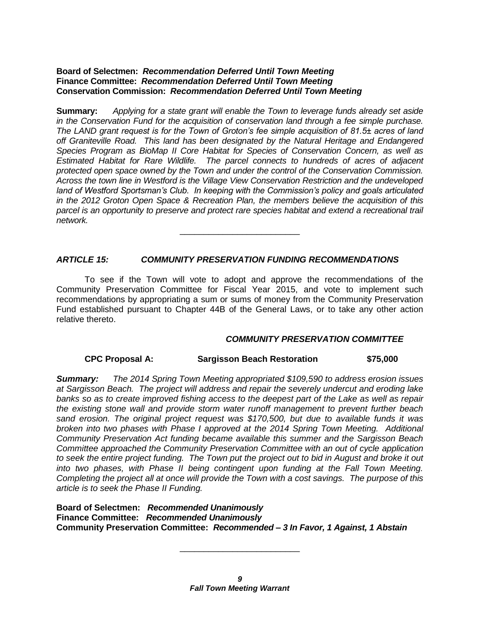#### **Board of Selectmen:** *Recommendation Deferred Until Town Meeting* **Finance Committee:** *Recommendation Deferred Until Town Meeting* **Conservation Commission:** *Recommendation Deferred Until Town Meeting*

**Summary:** *Applying for a state grant will enable the Town to leverage funds already set aside in the Conservation Fund for the acquisition of conservation land through a fee simple purchase. The LAND grant request is for the Town of Groton's fee simple acquisition of 81.5± acres of land off Graniteville Road. This land has been designated by the Natural Heritage and Endangered Species Program as BioMap II Core Habitat for Species of Conservation Concern, as well as Estimated Habitat for Rare Wildlife. The parcel connects to hundreds of acres of adjacent protected open space owned by the Town and under the control of the Conservation Commission. Across the town line in Westford is the Village View Conservation Restriction and the undeveloped land of Westford Sportsman's Club. In keeping with the Commission's policy and goals articulated in the 2012 Groton Open Space & Recreation Plan, the members believe the acquisition of this parcel is an opportunity to preserve and protect rare species habitat and extend a recreational trail network.*

\_\_\_\_\_\_\_\_\_\_\_\_\_\_\_\_\_\_\_\_\_\_\_\_\_

#### *ARTICLE 15: COMMUNITY PRESERVATION FUNDING RECOMMENDATIONS*

To see if the Town will vote to adopt and approve the recommendations of the Community Preservation Committee for Fiscal Year 2015, and vote to implement such recommendations by appropriating a sum or sums of money from the Community Preservation Fund established pursuant to Chapter 44B of the General Laws, or to take any other action relative thereto.

#### *COMMUNITY PRESERVATION COMMITTEE*

#### **CPC Proposal A: Sargisson Beach Restoration \$75,000**

*Summary: The 2014 Spring Town Meeting appropriated \$109,590 to address erosion issues at Sargisson Beach. The project will address and repair the severely undercut and eroding lake banks so as to create improved fishing access to the deepest part of the Lake as well as repair the existing stone wall and provide storm water runoff management to prevent further beach sand erosion. The original project request was \$170,500, but due to available funds it was broken into two phases with Phase I approved at the 2014 Spring Town Meeting. Additional Community Preservation Act funding became available this summer and the Sargisson Beach Committee approached the Community Preservation Committee with an out of cycle application to seek the entire project funding. The Town put the project out to bid in August and broke it out into two phases, with Phase II being contingent upon funding at the Fall Town Meeting. Completing the project all at once will provide the Town with a cost savings. The purpose of this article is to seek the Phase II Funding.*

**Board of Selectmen:** *Recommended Unanimously* **Finance Committee:** *Recommended Unanimously* **Community Preservation Committee:** *Recommended – 3 In Favor, 1 Against, 1 Abstain*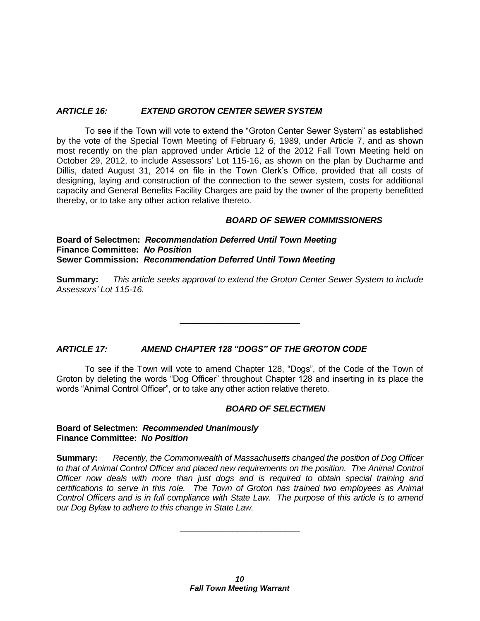#### *ARTICLE 16: EXTEND GROTON CENTER SEWER SYSTEM*

To see if the Town will vote to extend the "Groton Center Sewer System" as established by the vote of the Special Town Meeting of February 6, 1989, under Article 7, and as shown most recently on the plan approved under Article 12 of the 2012 Fall Town Meeting held on October 29, 2012, to include Assessors' Lot 115-16, as shown on the plan by Ducharme and Dillis, dated August 31, 2014 on file in the Town Clerk's Office, provided that all costs of designing, laying and construction of the connection to the sewer system, costs for additional capacity and General Benefits Facility Charges are paid by the owner of the property benefitted thereby, or to take any other action relative thereto.

#### *BOARD OF SEWER COMMISSIONERS*

**Board of Selectmen:** *Recommendation Deferred Until Town Meeting* **Finance Committee:** *No Position* **Sewer Commission:** *Recommendation Deferred Until Town Meeting*

**Summary:** *This article seeks approval to extend the Groton Center Sewer System to include Assessors' Lot 115-16.*

\_\_\_\_\_\_\_\_\_\_\_\_\_\_\_\_\_\_\_\_\_\_\_\_\_

#### *ARTICLE 17: AMEND CHAPTER 128 "DOGS" OF THE GROTON CODE*

To see if the Town will vote to amend Chapter 128, "Dogs", of the Code of the Town of Groton by deleting the words "Dog Officer" throughout Chapter 128 and inserting in its place the words "Animal Control Officer", or to take any other action relative thereto.

#### *BOARD OF SELECTMEN*

#### **Board of Selectmen:** *Recommended Unanimously* **Finance Committee:** *No Position*

**Summary:** *Recently, the Commonwealth of Massachusetts changed the position of Dog Officer*  to that of Animal Control Officer and placed new requirements on the position. The Animal Control *Officer now deals with more than just dogs and is required to obtain special training and certifications to serve in this role. The Town of Groton has trained two employees as Animal Control Officers and is in full compliance with State Law. The purpose of this article is to amend our Dog Bylaw to adhere to this change in State Law.*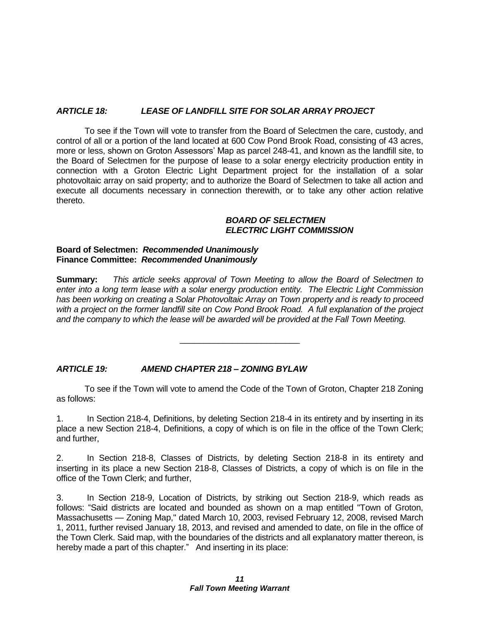#### *ARTICLE 18: LEASE OF LANDFILL SITE FOR SOLAR ARRAY PROJECT*

To see if the Town will vote to transfer from the Board of Selectmen the care, custody, and control of all or a portion of the land located at 600 Cow Pond Brook Road, consisting of 43 acres, more or less, shown on Groton Assessors' Map as parcel 248-41, and known as the landfill site, to the Board of Selectmen for the purpose of lease to a solar energy electricity production entity in connection with a Groton Electric Light Department project for the installation of a solar photovoltaic array on said property; and to authorize the Board of Selectmen to take all action and execute all documents necessary in connection therewith, or to take any other action relative thereto.

#### *BOARD OF SELECTMEN ELECTRIC LIGHT COMMISSION*

#### **Board of Selectmen:** *Recommended Unanimously* **Finance Committee:** *Recommended Unanimously*

**Summary:** *This article seeks approval of Town Meeting to allow the Board of Selectmen to enter into a long term lease with a solar energy production entity. The Electric Light Commission has been working on creating a Solar Photovoltaic Array on Town property and is ready to proceed with a project on the former landfill site on Cow Pond Brook Road. A full explanation of the project and the company to which the lease will be awarded will be provided at the Fall Town Meeting.*

\_\_\_\_\_\_\_\_\_\_\_\_\_\_\_\_\_\_\_\_\_\_\_\_\_

#### *ARTICLE 19: AMEND CHAPTER 218 – ZONING BYLAW*

To see if the Town will vote to amend the Code of the Town of Groton, Chapter 218 Zoning as follows:

1. In Section 218-4, Definitions, by deleting Section 218-4 in its entirety and by inserting in its place a new Section 218-4, Definitions, a copy of which is on file in the office of the Town Clerk; and further,

2. In Section 218-8, Classes of Districts, by deleting Section 218-8 in its entirety and inserting in its place a new Section 218-8, Classes of Districts, a copy of which is on file in the office of the Town Clerk; and further,

3. In Section 218-9, Location of Districts, by striking out Section 218-9, which reads as follows: "Said districts are located and bounded as shown on a map entitled "Town of Groton, Massachusetts — Zoning Map," dated March 10, 2003, revised February 12, 2008, revised March 1, 2011, further revised January 18, 2013, and revised and amended to date, on file in the office of the Town Clerk. Said map, with the boundaries of the districts and all explanatory matter thereon, is hereby made a part of this chapter." And inserting in its place: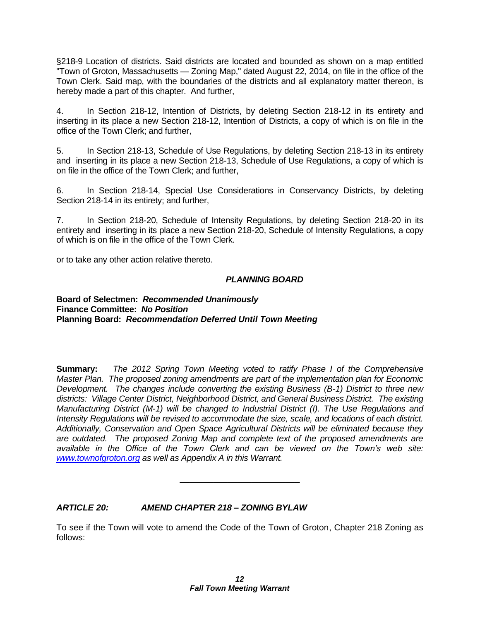§218-9 Location of districts. Said districts are located and bounded as shown on a map entitled "Town of Groton, Massachusetts — Zoning Map," dated August 22, 2014, on file in the office of the Town Clerk. Said map, with the boundaries of the districts and all explanatory matter thereon, is hereby made a part of this chapter. And further,

4. In Section 218-12, Intention of Districts, by deleting Section 218-12 in its entirety and inserting in its place a new Section 218-12, Intention of Districts, a copy of which is on file in the office of the Town Clerk; and further,

5. In Section 218-13, Schedule of Use Regulations, by deleting Section 218-13 in its entirety and inserting in its place a new Section 218-13, Schedule of Use Regulations, a copy of which is on file in the office of the Town Clerk; and further,

6. In Section 218-14, Special Use Considerations in Conservancy Districts, by deleting Section 218-14 in its entirety; and further,

7. In Section 218-20, Schedule of Intensity Regulations, by deleting Section 218-20 in its entirety and inserting in its place a new Section 218-20, Schedule of Intensity Regulations, a copy of which is on file in the office of the Town Clerk.

or to take any other action relative thereto.

#### *PLANNING BOARD*

#### **Board of Selectmen:** *Recommended Unanimously* **Finance Committee:** *No Position* **Planning Board:** *Recommendation Deferred Until Town Meeting*

**Summary:** *The 2012 Spring Town Meeting voted to ratify Phase I of the Comprehensive Master Plan. The proposed zoning amendments are part of the implementation plan for Economic Development. The changes include converting the existing Business (B-1) District to three new districts: Village Center District, Neighborhood District, and General Business District. The existing Manufacturing District (M-1) will be changed to Industrial District (I). The Use Regulations and Intensity Regulations will be revised to accommodate the size, scale, and locations of each district. Additionally, Conservation and Open Space Agricultural Districts will be eliminated because they are outdated. The proposed Zoning Map and complete text of the proposed amendments are available in the Office of the Town Clerk and can be viewed on the Town's web site: [www.townofgroton.org](http://www.townofgroton.org/) as well as Appendix A in this Warrant.*

#### *ARTICLE 20: AMEND CHAPTER 218 – ZONING BYLAW*

To see if the Town will vote to amend the Code of the Town of Groton, Chapter 218 Zoning as follows: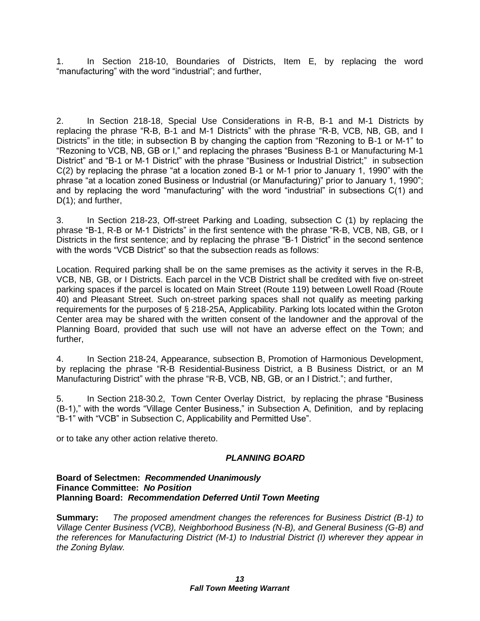1. In Section 218-10, Boundaries of Districts, Item E, by replacing the word "manufacturing" with the word "industrial"; and further,

2. In Section 218-18, Special Use Considerations in R-B, B-1 and M-1 Districts by replacing the phrase "R-B, B-1 and M-1 Districts" with the phrase "R-B, VCB, NB, GB, and I Districts" in the title; in subsection B by changing the caption from "Rezoning to B-1 or M-1" to "Rezoning to VCB, NB, GB or I," and replacing the phrases "Business B-1 or Manufacturing M-1 District" and "B-1 or M-1 District" with the phrase "Business or Industrial District;" in subsection C(2) by replacing the phrase "at a location zoned B-1 or M-1 prior to January 1, 1990" with the phrase "at a location zoned Business or Industrial (or Manufacturing)" prior to January 1, 1990"; and by replacing the word "manufacturing" with the word "industrial" in subsections C(1) and D(1); and further,

3. In Section 218-23, Off-street Parking and Loading, subsection C (1) by replacing the phrase "B-1, R-B or M-1 Districts" in the first sentence with the phrase "R-B, VCB, NB, GB, or I Districts in the first sentence; and by replacing the phrase "B-1 District" in the second sentence with the words "VCB District" so that the subsection reads as follows:

Location. Required parking shall be on the same premises as the activity it serves in the R-B, VCB, NB, GB, or I Districts. Each parcel in the VCB District shall be credited with five on-street parking spaces if the parcel is located on Main Street (Route 119) between Lowell Road (Route 40) and Pleasant Street. Such on-street parking spaces shall not qualify as meeting parking requirements for the purposes of § 218-25A, Applicability. Parking lots located within the Groton Center area may be shared with the written consent of the landowner and the approval of the Planning Board, provided that such use will not have an adverse effect on the Town; and further,

4. In Section 218-24, Appearance, subsection B, Promotion of Harmonious Development, by replacing the phrase "R-B Residential-Business District, a B Business District, or an M Manufacturing District" with the phrase "R-B, VCB, NB, GB, or an I District."; and further,

5. In Section 218-30.2, Town Center Overlay District, by replacing the phrase "Business (B-1)," with the words "Village Center Business," in Subsection A, Definition, and by replacing "B-1" with "VCB" in Subsection C, Applicability and Permitted Use".

or to take any other action relative thereto.

#### *PLANNING BOARD*

#### **Board of Selectmen:** *Recommended Unanimously* **Finance Committee:** *No Position* **Planning Board:** *Recommendation Deferred Until Town Meeting*

**Summary:** *The proposed amendment changes the references for Business District (B-1) to Village Center Business (VCB), Neighborhood Business (N-B), and General Business (G-B) and the references for Manufacturing District (M-1) to Industrial District (I) wherever they appear in the Zoning Bylaw.*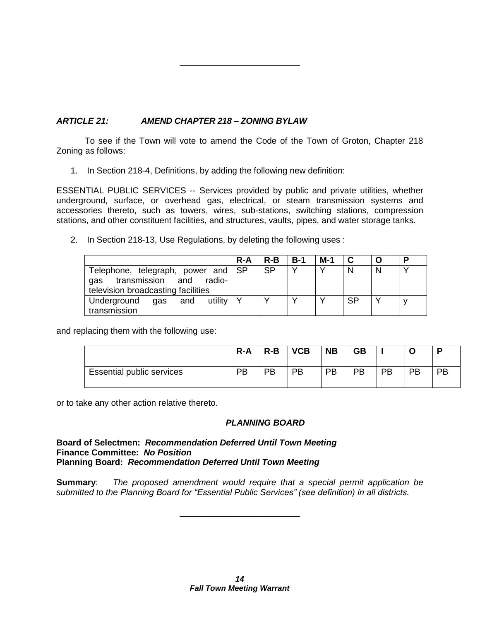#### *ARTICLE 21: AMEND CHAPTER 218 – ZONING BYLAW*

To see if the Town will vote to amend the Code of the Town of Groton, Chapter 218 Zoning as follows:

\_\_\_\_\_\_\_\_\_\_\_\_\_\_\_\_\_\_\_\_\_\_\_\_\_

1. In Section 218-4, Definitions, by adding the following new definition:

ESSENTIAL PUBLIC SERVICES -- Services provided by public and private utilities, whether underground, surface, or overhead gas, electrical, or steam transmission systems and accessories thereto, such as towers, wires, sub-stations, switching stations, compression stations, and other constituent facilities, and structures, vaults, pipes, and water storage tanks.

2. In Section 218-13, Use Regulations, by deleting the following uses :

|                                                                                                            | $R - A$ | $R-B$     | $B-1$        | $M-1$        | C         | O | D |
|------------------------------------------------------------------------------------------------------------|---------|-----------|--------------|--------------|-----------|---|---|
| Telephone, telegraph, power and SP<br>transmission and radio-<br>gas<br>television broadcasting facilities |         | <b>SP</b> | $\checkmark$ | $\checkmark$ | N         | N |   |
| utility   Y<br>Underground<br>and<br>gas<br>transmission                                                   |         |           |              |              | <b>SP</b> |   |   |

and replacing them with the following use:

|                                  | R-A | $R-B$ | <b>VCB</b> | <b>NB</b> | <b>GB</b> |    |    | Đ  |
|----------------------------------|-----|-------|------------|-----------|-----------|----|----|----|
| <b>Essential public services</b> | PR  | PB    | PB         | PB        | PB        | PB | PB | PВ |

or to take any other action relative thereto.

#### *PLANNING BOARD*

**Board of Selectmen:** *Recommendation Deferred Until Town Meeting* **Finance Committee:** *No Position* **Planning Board:** *Recommendation Deferred Until Town Meeting*

**Summary**: *The proposed amendment would require that a special permit application be submitted to the Planning Board for "Essential Public Services" (see definition) in all districts.*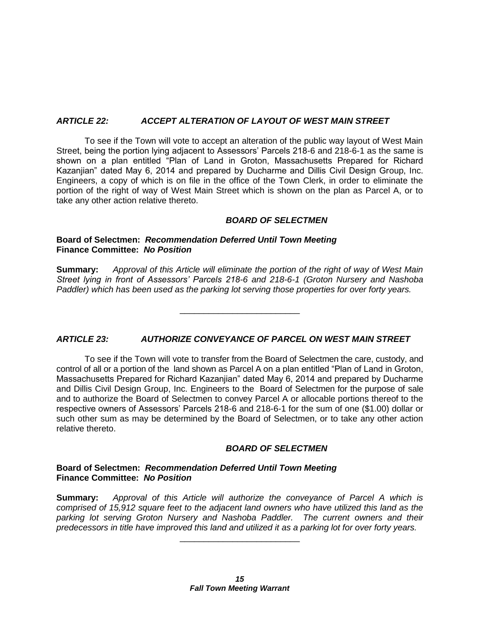#### *ARTICLE 22: ACCEPT ALTERATION OF LAYOUT OF WEST MAIN STREET*

To see if the Town will vote to accept an alteration of the public way layout of West Main Street, being the portion lying adjacent to Assessors' Parcels 218-6 and 218-6-1 as the same is shown on a plan entitled "Plan of Land in Groton, Massachusetts Prepared for Richard Kazanjian" dated May 6, 2014 and prepared by Ducharme and Dillis Civil Design Group, Inc. Engineers, a copy of which is on file in the office of the Town Clerk, in order to eliminate the portion of the right of way of West Main Street which is shown on the plan as Parcel A, or to take any other action relative thereto.

#### *BOARD OF SELECTMEN*

#### **Board of Selectmen:** *Recommendation Deferred Until Town Meeting* **Finance Committee:** *No Position*

**Summary:** *Approval of this Article will eliminate the portion of the right of way of West Main Street lying in front of Assessors' Parcels 218-6 and 218-6-1 (Groton Nursery and Nashoba Paddler) which has been used as the parking lot serving those properties for over forty years.*

\_\_\_\_\_\_\_\_\_\_\_\_\_\_\_\_\_\_\_\_\_\_\_\_\_

#### *ARTICLE 23: AUTHORIZE CONVEYANCE OF PARCEL ON WEST MAIN STREET*

To see if the Town will vote to transfer from the Board of Selectmen the care, custody, and control of all or a portion of the land shown as Parcel A on a plan entitled "Plan of Land in Groton, Massachusetts Prepared for Richard Kazanjian" dated May 6, 2014 and prepared by Ducharme and Dillis Civil Design Group, Inc. Engineers to the Board of Selectmen for the purpose of sale and to authorize the Board of Selectmen to convey Parcel A or allocable portions thereof to the respective owners of Assessors' Parcels 218-6 and 218-6-1 for the sum of one (\$1.00) dollar or such other sum as may be determined by the Board of Selectmen, or to take any other action relative thereto.

#### *BOARD OF SELECTMEN*

#### **Board of Selectmen:** *Recommendation Deferred Until Town Meeting* **Finance Committee:** *No Position*

**Summary:** *Approval of this Article will authorize the conveyance of Parcel A which is comprised of 15,912 square feet to the adjacent land owners who have utilized this land as the parking lot serving Groton Nursery and Nashoba Paddler. The current owners and their predecessors in title have improved this land and utilized it as a parking lot for over forty years.*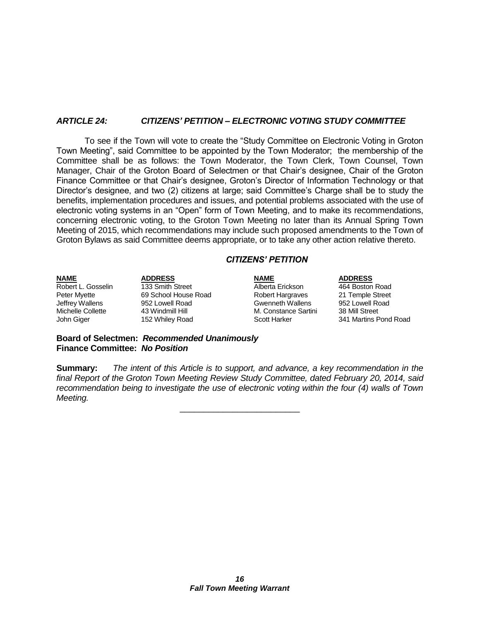#### *ARTICLE 24: CITIZENS' PETITION – ELECTRONIC VOTING STUDY COMMITTEE*

To see if the Town will vote to create the "Study Committee on Electronic Voting in Groton Town Meeting", said Committee to be appointed by the Town Moderator; the membership of the Committee shall be as follows: the Town Moderator, the Town Clerk, Town Counsel, Town Manager, Chair of the Groton Board of Selectmen or that Chair's designee, Chair of the Groton Finance Committee or that Chair's designee, Groton's Director of Information Technology or that Director's designee, and two (2) citizens at large; said Committee's Charge shall be to study the benefits, implementation procedures and issues, and potential problems associated with the use of electronic voting systems in an "Open" form of Town Meeting, and to make its recommendations, concerning electronic voting, to the Groton Town Meeting no later than its Annual Spring Town Meeting of 2015, which recommendations may include such proposed amendments to the Town of Groton Bylaws as said Committee deems appropriate, or to take any other action relative thereto.

#### *CITIZENS' PETITION*

**NAME ADDRESS NAME ADDRESS** Robert L. Gosselin and 133 Smith Street and Alberta Erickson and 464 Boston Road<br>
Peter Myette and 69 School House Road and Robert Hargraves 21 Temple Street Peter Myette 69 School House Road Robert Hargraves 21 Temple Street<br>
Jeffrey Wallens 952 Lowell Road Cwenneth Wallens 952 Lowell Road Jeffrey Wallens 952 Lowell Road Gwenneth Wallens 952 Lowell Road 43 Windmill Hill M. Constance Sartini<br>152 Whiley Road M. Scott Harker John Giger 152 Whiley Road Scott Harker 341 Martins Pond Road

**Board of Selectmen:** *Recommended Unanimously* **Finance Committee:** *No Position*

**Summary:** *The intent of this Article is to support, and advance, a key recommendation in the final Report of the Groton Town Meeting Review Study Committee, dated February 20, 2014, said recommendation being to investigate the use of electronic voting within the four (4) walls of Town Meeting.*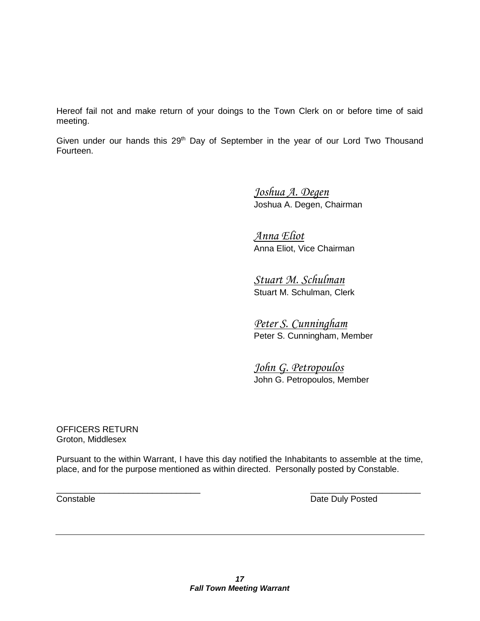Hereof fail not and make return of your doings to the Town Clerk on or before time of said meeting.

Given under our hands this 29<sup>th</sup> Day of September in the year of our Lord Two Thousand Fourteen.

> *Joshua A. Degen* Joshua A. Degen, Chairman

*Anna Eliot* Anna Eliot, Vice Chairman

*Stuart M. Schulman* Stuart M. Schulman, Clerk

*Peter S. Cunningham* Peter S. Cunningham, Member

*John G. Petropoulos* John G. Petropoulos, Member

OFFICERS RETURN Groton, Middlesex

Pursuant to the within Warrant, I have this day notified the Inhabitants to assemble at the time, place, and for the purpose mentioned as within directed. Personally posted by Constable.

 $\overline{\phantom{a}}$  , and the contract of the contract of the contract of the contract of the contract of the contract of the contract of the contract of the contract of the contract of the contract of the contract of the contrac **Constable Constable Date Duly Posted**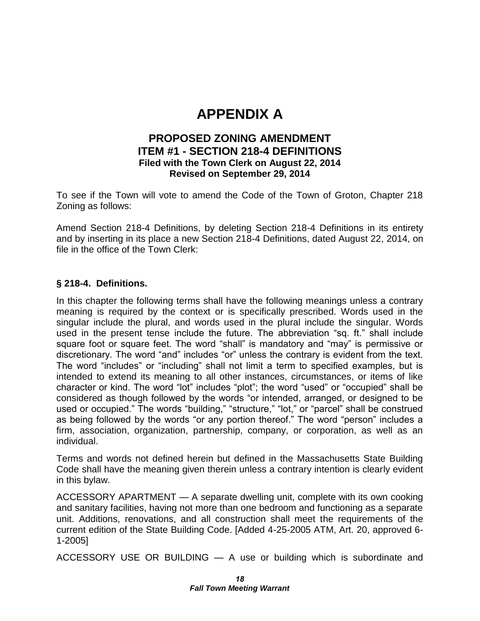### **APPENDIX A**

#### **PROPOSED ZONING AMENDMENT ITEM #1 - SECTION 218-4 DEFINITIONS Filed with the Town Clerk on August 22, 2014 Revised on September 29, 2014**

To see if the Town will vote to amend the Code of the Town of Groton, Chapter 218 Zoning as follows:

Amend Section 218-4 Definitions, by deleting Section 218-4 Definitions in its entirety and by inserting in its place a new Section 218-4 Definitions, dated August 22, 2014, on file in the office of the Town Clerk:

#### **§ 218-4. Definitions.**

In this chapter the following terms shall have the following meanings unless a contrary meaning is required by the context or is specifically prescribed. Words used in the singular include the plural, and words used in the plural include the singular. Words used in the present tense include the future. The abbreviation "sq. ft." shall include square foot or square feet. The word "shall" is mandatory and "may" is permissive or discretionary. The word "and" includes "or" unless the contrary is evident from the text. The word "includes" or "including" shall not limit a term to specified examples, but is intended to extend its meaning to all other instances, circumstances, or items of like character or kind. The word "lot" includes "plot"; the word "used" or "occupied" shall be considered as though followed by the words "or intended, arranged, or designed to be used or occupied." The words "building," "structure," "lot," or "parcel" shall be construed as being followed by the words "or any portion thereof." The word "person" includes a firm, association, organization, partnership, company, or corporation, as well as an individual.

Terms and words not defined herein but defined in the Massachusetts State Building Code shall have the meaning given therein unless a contrary intention is clearly evident in this bylaw.

ACCESSORY APARTMENT — A separate dwelling unit, complete with its own cooking and sanitary facilities, having not more than one bedroom and functioning as a separate unit. Additions, renovations, and all construction shall meet the requirements of the current edition of the State Building Code. [Added 4-25-2005 ATM, Art. 20, approved 6- 1-2005]

ACCESSORY USE OR BUILDING — A use or building which is subordinate and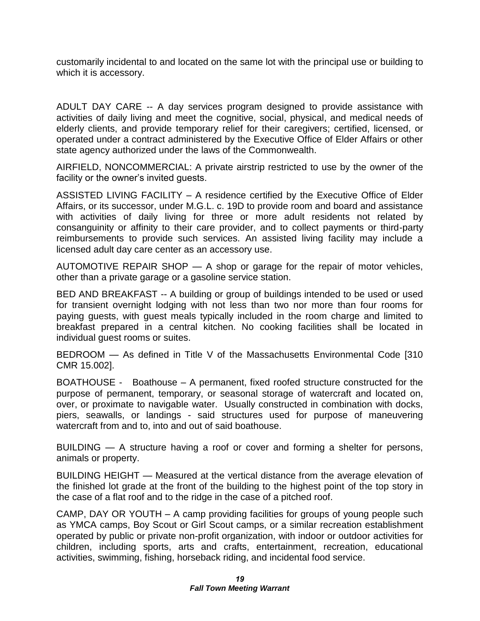customarily incidental to and located on the same lot with the principal use or building to which it is accessory.

ADULT DAY CARE -- A day services program designed to provide assistance with activities of daily living and meet the cognitive, social, physical, and medical needs of elderly clients, and provide temporary relief for their caregivers; certified, licensed, or operated under a contract administered by the Executive Office of Elder Affairs or other state agency authorized under the laws of the Commonwealth.

AIRFIELD, NONCOMMERCIAL: A private airstrip restricted to use by the owner of the facility or the owner's invited guests.

ASSISTED LIVING FACILITY – A residence certified by the Executive Office of Elder Affairs, or its successor, under M.G.L. c. 19D to provide room and board and assistance with activities of daily living for three or more adult residents not related by consanguinity or affinity to their care provider, and to collect payments or third-party reimbursements to provide such services. An assisted living facility may include a licensed adult day care center as an accessory use.

AUTOMOTIVE REPAIR SHOP — A shop or garage for the repair of motor vehicles, other than a private garage or a gasoline service station.

BED AND BREAKFAST -- A building or group of buildings intended to be used or used for transient overnight lodging with not less than two nor more than four rooms for paying guests, with guest meals typically included in the room charge and limited to breakfast prepared in a central kitchen. No cooking facilities shall be located in individual guest rooms or suites.

BEDROOM — As defined in Title V of the Massachusetts Environmental Code [310 CMR 15.002].

BOATHOUSE - Boathouse – A permanent, fixed roofed structure constructed for the purpose of permanent, temporary, or seasonal storage of watercraft and located on, over, or proximate to navigable water. Usually constructed in combination with docks, piers, seawalls, or landings - said structures used for purpose of maneuvering watercraft from and to, into and out of said boathouse.

BUILDING — A structure having a roof or cover and forming a shelter for persons, animals or property.

BUILDING HEIGHT — Measured at the vertical distance from the average elevation of the finished lot grade at the front of the building to the highest point of the top story in the case of a flat roof and to the ridge in the case of a pitched roof.

CAMP, DAY OR YOUTH – A camp providing facilities for groups of young people such as YMCA camps, Boy Scout or Girl Scout camps, or a similar recreation establishment operated by public or private non-profit organization, with indoor or outdoor activities for children, including sports, arts and crafts, entertainment, recreation, educational activities, swimming, fishing, horseback riding, and incidental food service.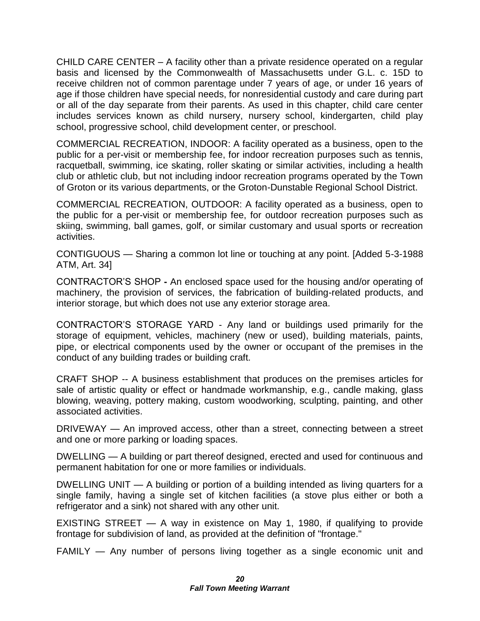CHILD CARE CENTER – A facility other than a private residence operated on a regular basis and licensed by the Commonwealth of Massachusetts under G.L. c. 15D to receive children not of common parentage under 7 years of age, or under 16 years of age if those children have special needs, for nonresidential custody and care during part or all of the day separate from their parents. As used in this chapter, child care center includes services known as child nursery, nursery school, kindergarten, child play school, progressive school, child development center, or preschool.

COMMERCIAL RECREATION, INDOOR: A facility operated as a business, open to the public for a per-visit or membership fee, for indoor recreation purposes such as tennis, racquetball, swimming, ice skating, roller skating or similar activities, including a health club or athletic club, but not including indoor recreation programs operated by the Town of Groton or its various departments, or the Groton-Dunstable Regional School District.

COMMERCIAL RECREATION, OUTDOOR: A facility operated as a business, open to the public for a per-visit or membership fee, for outdoor recreation purposes such as skiing, swimming, ball games, golf, or similar customary and usual sports or recreation activities.

CONTIGUOUS — Sharing a common lot line or touching at any point. [Added 5-3-1988 ATM, Art. 34]

CONTRACTOR'S SHOP **-** An enclosed space used for the housing and/or operating of machinery, the provision of services, the fabrication of building-related products, and interior storage, but which does not use any exterior storage area.

CONTRACTOR'S STORAGE YARD - Any land or buildings used primarily for the storage of equipment, vehicles, machinery (new or used), building materials, paints, pipe, or electrical components used by the owner or occupant of the premises in the conduct of any building trades or building craft.

CRAFT SHOP -- A business establishment that produces on the premises articles for sale of artistic quality or effect or handmade workmanship, e.g., candle making, glass blowing, weaving, pottery making, custom woodworking, sculpting, painting, and other associated activities.

DRIVEWAY — An improved access, other than a street, connecting between a street and one or more parking or loading spaces.

DWELLING — A building or part thereof designed, erected and used for continuous and permanent habitation for one or more families or individuals.

DWELLING UNIT — A building or portion of a building intended as living quarters for a single family, having a single set of kitchen facilities (a stove plus either or both a refrigerator and a sink) not shared with any other unit.

EXISTING STREET — A way in existence on May 1, 1980, if qualifying to provide frontage for subdivision of land, as provided at the definition of "frontage."

FAMILY — Any number of persons living together as a single economic unit and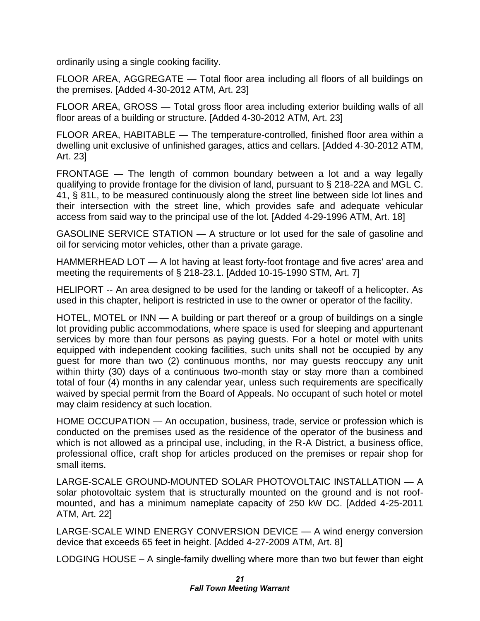ordinarily using a single cooking facility.

FLOOR AREA, AGGREGATE — Total floor area including all floors of all buildings on the premises. [Added 4-30-2012 ATM, Art. 23]

FLOOR AREA, GROSS — Total gross floor area including exterior building walls of all floor areas of a building or structure. [Added 4-30-2012 ATM, Art. 23]

FLOOR AREA, HABITABLE — The temperature-controlled, finished floor area within a dwelling unit exclusive of unfinished garages, attics and cellars. [Added 4-30-2012 ATM, Art. 23]

FRONTAGE — The length of common boundary between a lot and a way legally qualifying to provide frontage for the division of land, pursuant to § 218-22A and MGL C. 41, § 81L, to be measured continuously along the street line between side lot lines and their intersection with the street line, which provides safe and adequate vehicular access from said way to the principal use of the lot. [Added 4-29-1996 ATM, Art. 18]

GASOLINE SERVICE STATION — A structure or lot used for the sale of gasoline and oil for servicing motor vehicles, other than a private garage.

HAMMERHEAD LOT — A lot having at least forty-foot frontage and five acres' area and meeting the requirements of § 218-23.1. [Added 10-15-1990 STM, Art. 7]

HELIPORT -- An area designed to be used for the landing or takeoff of a helicopter. As used in this chapter, heliport is restricted in use to the owner or operator of the facility.

HOTEL, MOTEL or INN — A building or part thereof or a group of buildings on a single lot providing public accommodations, where space is used for sleeping and appurtenant services by more than four persons as paying guests. For a hotel or motel with units equipped with independent cooking facilities, such units shall not be occupied by any guest for more than two (2) continuous months, nor may guests reoccupy any unit within thirty (30) days of a continuous two-month stay or stay more than a combined total of four (4) months in any calendar year, unless such requirements are specifically waived by special permit from the Board of Appeals. No occupant of such hotel or motel may claim residency at such location.

HOME OCCUPATION — An occupation, business, trade, service or profession which is conducted on the premises used as the residence of the operator of the business and which is not allowed as a principal use, including, in the R-A District, a business office, professional office, craft shop for articles produced on the premises or repair shop for small items.

LARGE-SCALE GROUND-MOUNTED SOLAR PHOTOVOLTAIC INSTALLATION — A solar photovoltaic system that is structurally mounted on the ground and is not roofmounted, and has a minimum nameplate capacity of 250 kW DC. [Added 4-25-2011 ATM, Art. 22]

LARGE-SCALE WIND ENERGY CONVERSION DEVICE — A wind energy conversion device that exceeds 65 feet in height. [Added 4-27-2009 ATM, Art. 8]

LODGING HOUSE – A single-family dwelling where more than two but fewer than eight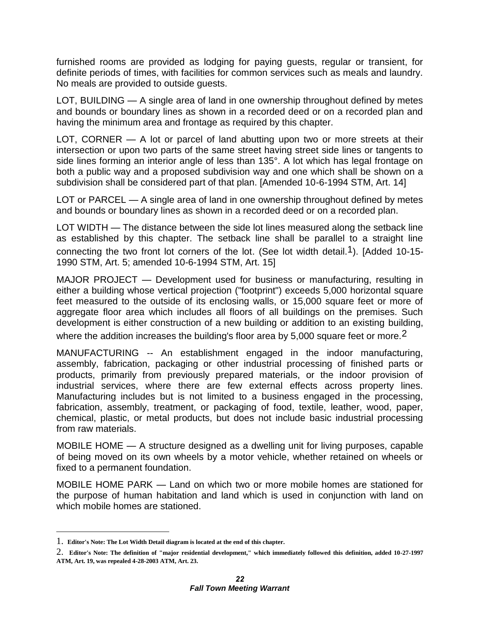furnished rooms are provided as lodging for paying guests, regular or transient, for definite periods of times, with facilities for common services such as meals and laundry. No meals are provided to outside guests.

LOT, BUILDING — A single area of land in one ownership throughout defined by metes and bounds or boundary lines as shown in a recorded deed or on a recorded plan and having the minimum area and frontage as required by this chapter.

LOT, CORNER — A lot or parcel of land abutting upon two or more streets at their intersection or upon two parts of the same street having street side lines or tangents to side lines forming an interior angle of less than 135°. A lot which has legal frontage on both a public way and a proposed subdivision way and one which shall be shown on a subdivision shall be considered part of that plan. [Amended 10-6-1994 STM, Art. 14]

LOT or PARCEL — A single area of land in one ownership throughout defined by metes and bounds or boundary lines as shown in a recorded deed or on a recorded plan.

LOT WIDTH — The distance between the side lot lines measured along the setback line as established by this chapter. The setback line shall be parallel to a straight line connecting the two front lot corners of the lot. (See lot width detail.<sup>1</sup>). [Added 10-15-1990 STM, Art. 5; amended 10-6-1994 STM, Art. 15]

MAJOR PROJECT — Development used for business or manufacturing, resulting in either a building whose vertical projection ("footprint") exceeds 5,000 horizontal square feet measured to the outside of its enclosing walls, or 15,000 square feet or more of aggregate floor area which includes all floors of all buildings on the premises. Such development is either construction of a new building or addition to an existing building,

where the addition increases the building's floor area by 5,000 square feet or more.<sup>2</sup>

MANUFACTURING -- An establishment engaged in the indoor manufacturing, assembly, fabrication, packaging or other industrial processing of finished parts or products, primarily from previously prepared materials, or the indoor provision of industrial services, where there are few external effects across property lines. Manufacturing includes but is not limited to a business engaged in the processing, fabrication, assembly, treatment, or packaging of food, textile, leather, wood, paper, chemical, plastic, or metal products, but does not include basic industrial processing from raw materials.

MOBILE HOME — A structure designed as a dwelling unit for living purposes, capable of being moved on its own wheels by a motor vehicle, whether retained on wheels or fixed to a permanent foundation.

MOBILE HOME PARK — Land on which two or more mobile homes are stationed for the purpose of human habitation and land which is used in conjunction with land on which mobile homes are stationed.

<sup>1.</sup> **Editor's Note: The Lot Width Detail diagram is located at the end of this chapter.** 

<sup>2.</sup> **Editor's Note: The definition of "major residential development," which immediately followed this definition, added 10-27-1997 ATM, Art. 19, was repealed 4-28-2003 ATM, Art. 23.**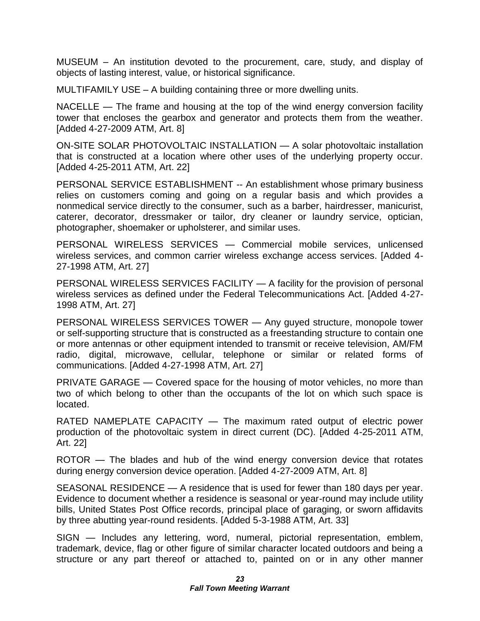MUSEUM – An institution devoted to the procurement, care, study, and display of objects of lasting interest, value, or historical significance.

MULTIFAMILY USE – A building containing three or more dwelling units.

NACELLE — The frame and housing at the top of the wind energy conversion facility tower that encloses the gearbox and generator and protects them from the weather. [Added 4-27-2009 ATM, Art. 8]

ON-SITE SOLAR PHOTOVOLTAIC INSTALLATION — A solar photovoltaic installation that is constructed at a location where other uses of the underlying property occur. [Added 4-25-2011 ATM, Art. 22]

PERSONAL SERVICE ESTABLISHMENT -- An establishment whose primary business relies on customers coming and going on a regular basis and which provides a nonmedical service directly to the consumer, such as a barber, hairdresser, manicurist, caterer, decorator, dressmaker or tailor, dry cleaner or laundry service, optician, photographer, shoemaker or upholsterer, and similar uses.

PERSONAL WIRELESS SERVICES — Commercial mobile services, unlicensed wireless services, and common carrier wireless exchange access services. [Added 4- 27-1998 ATM, Art. 27]

PERSONAL WIRELESS SERVICES FACILITY — A facility for the provision of personal wireless services as defined under the Federal Telecommunications Act. [Added 4-27- 1998 ATM, Art. 27]

PERSONAL WIRELESS SERVICES TOWER — Any guyed structure, monopole tower or self-supporting structure that is constructed as a freestanding structure to contain one or more antennas or other equipment intended to transmit or receive television, AM/FM radio, digital, microwave, cellular, telephone or similar or related forms of communications. [Added 4-27-1998 ATM, Art. 27]

PRIVATE GARAGE — Covered space for the housing of motor vehicles, no more than two of which belong to other than the occupants of the lot on which such space is located.

RATED NAMEPLATE CAPACITY — The maximum rated output of electric power production of the photovoltaic system in direct current (DC). [Added 4-25-2011 ATM, Art. 22]

ROTOR — The blades and hub of the wind energy conversion device that rotates during energy conversion device operation. [Added 4-27-2009 ATM, Art. 8]

SEASONAL RESIDENCE — A residence that is used for fewer than 180 days per year. Evidence to document whether a residence is seasonal or year-round may include utility bills, United States Post Office records, principal place of garaging, or sworn affidavits by three abutting year-round residents. [Added 5-3-1988 ATM, Art. 33]

SIGN — Includes any lettering, word, numeral, pictorial representation, emblem, trademark, device, flag or other figure of similar character located outdoors and being a structure or any part thereof or attached to, painted on or in any other manner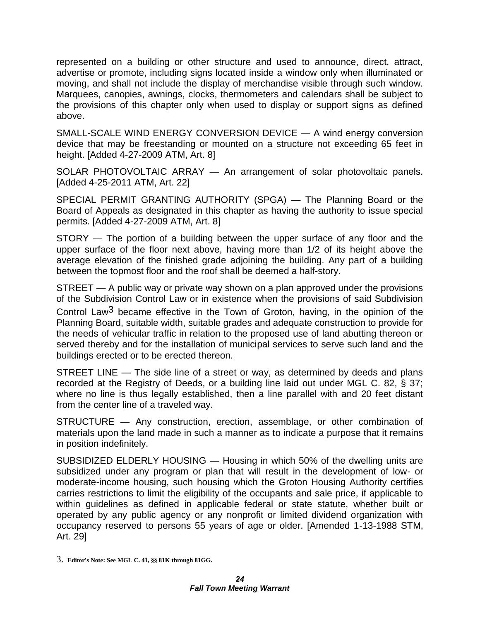represented on a building or other structure and used to announce, direct, attract, advertise or promote, including signs located inside a window only when illuminated or moving, and shall not include the display of merchandise visible through such window. Marquees, canopies, awnings, clocks, thermometers and calendars shall be subject to the provisions of this chapter only when used to display or support signs as defined above.

SMALL-SCALE WIND ENERGY CONVERSION DEVICE — A wind energy conversion device that may be freestanding or mounted on a structure not exceeding 65 feet in height. [Added 4-27-2009 ATM, Art. 8]

SOLAR PHOTOVOLTAIC ARRAY — An arrangement of solar photovoltaic panels. [Added 4-25-2011 ATM, Art. 22]

SPECIAL PERMIT GRANTING AUTHORITY (SPGA) — The Planning Board or the Board of Appeals as designated in this chapter as having the authority to issue special permits. [Added 4-27-2009 ATM, Art. 8]

STORY — The portion of a building between the upper surface of any floor and the upper surface of the floor next above, having more than 1/2 of its height above the average elevation of the finished grade adjoining the building. Any part of a building between the topmost floor and the roof shall be deemed a half-story.

STREET — A public way or private way shown on a plan approved under the provisions of the Subdivision Control Law or in existence when the provisions of said Subdivision Control Law3 became effective in the Town of Groton, having, in the opinion of the Planning Board, suitable width, suitable grades and adequate construction to provide for the needs of vehicular traffic in relation to the proposed use of land abutting thereon or served thereby and for the installation of municipal services to serve such land and the buildings erected or to be erected thereon.

STREET LINE — The side line of a street or way, as determined by deeds and plans recorded at the Registry of Deeds, or a building line laid out under MGL C. 82, § 37; where no line is thus legally established, then a line parallel with and 20 feet distant from the center line of a traveled way.

STRUCTURE — Any construction, erection, assemblage, or other combination of materials upon the land made in such a manner as to indicate a purpose that it remains in position indefinitely.

SUBSIDIZED ELDERLY HOUSING — Housing in which 50% of the dwelling units are subsidized under any program or plan that will result in the development of low- or moderate-income housing, such housing which the Groton Housing Authority certifies carries restrictions to limit the eligibility of the occupants and sale price, if applicable to within guidelines as defined in applicable federal or state statute, whether built or operated by any public agency or any nonprofit or limited dividend organization with occupancy reserved to persons 55 years of age or older. [Amended 1-13-1988 STM, Art. 29]

<sup>3.</sup> **Editor's Note: See MGL C. 41, §§ 81K through 81GG.**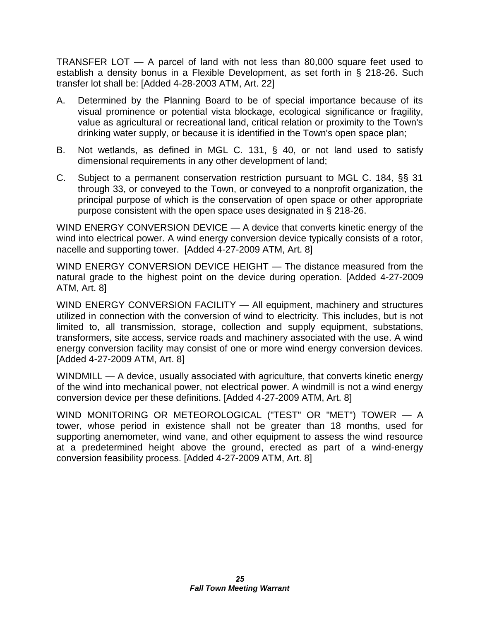TRANSFER LOT — A parcel of land with not less than 80,000 square feet used to establish a density bonus in a Flexible Development, as set forth in § 218-26. Such transfer lot shall be: [Added 4-28-2003 ATM, Art. 22]

- A. Determined by the Planning Board to be of special importance because of its visual prominence or potential vista blockage, ecological significance or fragility, value as agricultural or recreational land, critical relation or proximity to the Town's drinking water supply, or because it is identified in the Town's open space plan;
- B. Not wetlands, as defined in MGL C. 131, § 40, or not land used to satisfy dimensional requirements in any other development of land;
- C. Subject to a permanent conservation restriction pursuant to MGL C. 184, §§ 31 through 33, or conveyed to the Town, or conveyed to a nonprofit organization, the principal purpose of which is the conservation of open space or other appropriate purpose consistent with the open space uses designated in § 218-26.

WIND ENERGY CONVERSION DEVICE — A device that converts kinetic energy of the wind into electrical power. A wind energy conversion device typically consists of a rotor, nacelle and supporting tower. [Added 4-27-2009 ATM, Art. 8]

WIND ENERGY CONVERSION DEVICE HEIGHT — The distance measured from the natural grade to the highest point on the device during operation. [Added 4-27-2009 ATM, Art. 8]

WIND ENERGY CONVERSION FACILITY — All equipment, machinery and structures utilized in connection with the conversion of wind to electricity. This includes, but is not limited to, all transmission, storage, collection and supply equipment, substations, transformers, site access, service roads and machinery associated with the use. A wind energy conversion facility may consist of one or more wind energy conversion devices. [Added 4-27-2009 ATM, Art. 8]

WINDMILL — A device, usually associated with agriculture, that converts kinetic energy of the wind into mechanical power, not electrical power. A windmill is not a wind energy conversion device per these definitions. [Added 4-27-2009 ATM, Art. 8]

WIND MONITORING OR METEOROLOGICAL ("TEST" OR "MET") TOWER — A tower, whose period in existence shall not be greater than 18 months, used for supporting anemometer, wind vane, and other equipment to assess the wind resource at a predetermined height above the ground, erected as part of a wind-energy conversion feasibility process. [Added 4-27-2009 ATM, Art. 8]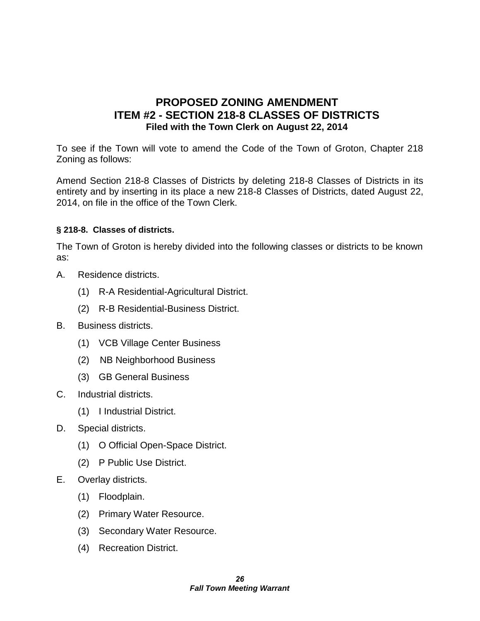#### **PROPOSED ZONING AMENDMENT ITEM #2 - SECTION 218-8 CLASSES OF DISTRICTS Filed with the Town Clerk on August 22, 2014**

To see if the Town will vote to amend the Code of the Town of Groton, Chapter 218 Zoning as follows:

Amend Section 218-8 Classes of Districts by deleting 218-8 Classes of Districts in its entirety and by inserting in its place a new 218-8 Classes of Districts, dated August 22, 2014, on file in the office of the Town Clerk.

#### **§ 218-8. Classes of districts.**

The Town of Groton is hereby divided into the following classes or districts to be known as:

- A. Residence districts.
	- (1) R-A Residential-Agricultural District.
	- (2) R-B Residential-Business District.
- B. Business districts.
	- (1) VCB Village Center Business
	- (2) NB Neighborhood Business
	- (3) GB General Business
- C. Industrial districts.
	- (1) I Industrial District.
- D. Special districts.
	- (1) O Official Open-Space District.
	- (2) P Public Use District.
- E. Overlay districts.
	- (1) Floodplain.
	- (2) Primary Water Resource.
	- (3) Secondary Water Resource.
	- (4) Recreation District.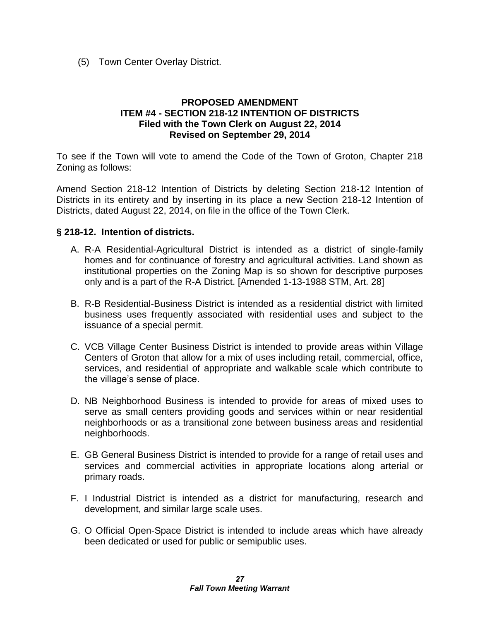(5) Town Center Overlay District.

#### **PROPOSED AMENDMENT ITEM #4 - SECTION 218-12 INTENTION OF DISTRICTS Filed with the Town Clerk on August 22, 2014 Revised on September 29, 2014**

To see if the Town will vote to amend the Code of the Town of Groton, Chapter 218 Zoning as follows:

Amend Section 218-12 Intention of Districts by deleting Section 218-12 Intention of Districts in its entirety and by inserting in its place a new Section 218-12 Intention of Districts, dated August 22, 2014, on file in the office of the Town Clerk.

#### **§ 218-12. Intention of districts.**

- A. R-A Residential-Agricultural District is intended as a district of single-family homes and for continuance of forestry and agricultural activities. Land shown as institutional properties on the Zoning Map is so shown for descriptive purposes only and is a part of the R-A District. [Amended 1-13-1988 STM, Art. 28]
- B. R-B Residential-Business District is intended as a residential district with limited business uses frequently associated with residential uses and subject to the issuance of a special permit.
- C. VCB Village Center Business District is intended to provide areas within Village Centers of Groton that allow for a mix of uses including retail, commercial, office, services, and residential of appropriate and walkable scale which contribute to the village's sense of place.
- D. NB Neighborhood Business is intended to provide for areas of mixed uses to serve as small centers providing goods and services within or near residential neighborhoods or as a transitional zone between business areas and residential neighborhoods.
- E. GB General Business District is intended to provide for a range of retail uses and services and commercial activities in appropriate locations along arterial or primary roads.
- F. I Industrial District is intended as a district for manufacturing, research and development, and similar large scale uses.
- G. O Official Open-Space District is intended to include areas which have already been dedicated or used for public or semipublic uses.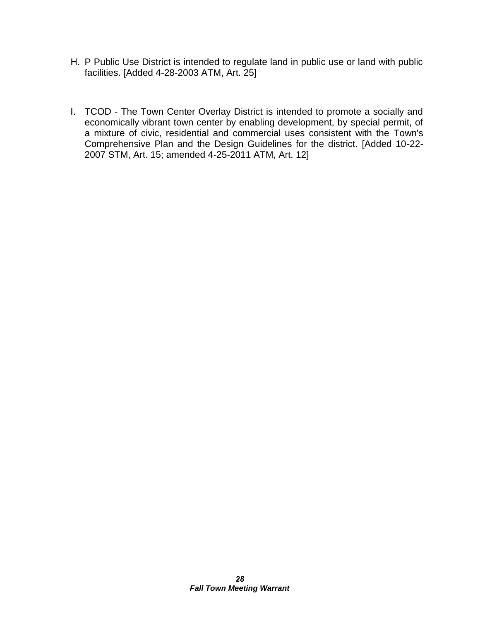- H. P Public Use District is intended to regulate land in public use or land with public facilities. [Added 4-28-2003 ATM, Art. 25]
- I. TCOD The Town Center Overlay District is intended to promote a socially and economically vibrant town center by enabling development, by special permit, of a mixture of civic, residential and commercial uses consistent with the Town's Comprehensive Plan and the Design Guidelines for the district. [Added 10-22- 2007 STM, Art. 15; amended 4-25-2011 ATM, Art. 12]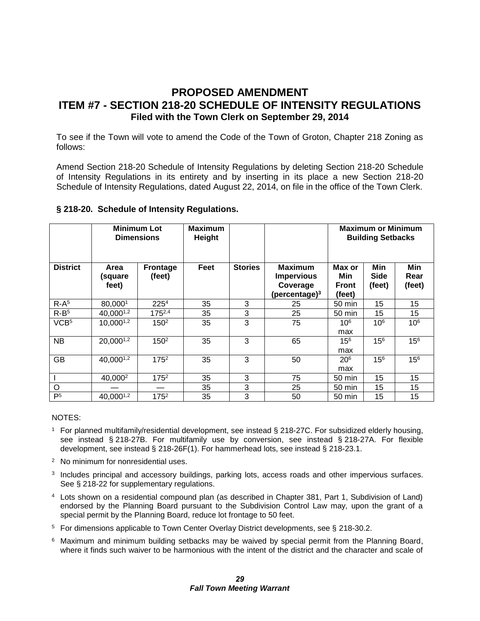#### **PROPOSED AMENDMENT ITEM #7 - SECTION 218-20 SCHEDULE OF INTENSITY REGULATIONS Filed with the Town Clerk on September 29, 2014**

To see if the Town will vote to amend the Code of the Town of Groton, Chapter 218 Zoning as follows:

Amend Section 218-20 Schedule of Intensity Regulations by deleting Section 218-20 Schedule of Intensity Regulations in its entirety and by inserting in its place a new Section 218-20 Schedule of Intensity Regulations, dated August 22, 2014, on file in the office of the Town Clerk.

| § 218-20. Schedule of Intensity Regulations. |  |
|----------------------------------------------|--|
|                                              |  |

|                  |                          | <b>Minimum Lot</b><br><b>Dimensions</b> | <b>Maximum</b><br>Height |                |                                                              |                                         | <b>Maximum or Minimum</b><br><b>Building Setbacks</b> |                       |  |
|------------------|--------------------------|-----------------------------------------|--------------------------|----------------|--------------------------------------------------------------|-----------------------------------------|-------------------------------------------------------|-----------------------|--|
| <b>District</b>  | Area<br>(square<br>feet) | <b>Frontage</b><br>(feet)               | Feet                     | <b>Stories</b> | <b>Maximum</b><br>Impervious<br>Coverage<br>(percentage) $3$ | Max or<br>Min<br><b>Front</b><br>(feet) | Min<br>Side<br>(feet)                                 | Min<br>Rear<br>(feet) |  |
| $R-A5$           | 80,0001                  | 2254                                    | 35                       | 3              | 25                                                           | 50 min                                  | 15                                                    | 15                    |  |
| $R-B5$           | 40,0001,2                | $175^{2,4}$                             | 35                       | 3              | 25                                                           | 50 min                                  | 15                                                    | 15                    |  |
| VCB <sup>5</sup> | 10,0001,2                | 150 <sup>2</sup>                        | 35                       | 3              | 75                                                           | 10 <sup>6</sup><br>max                  | 10 <sup>6</sup>                                       | 10 <sup>6</sup>       |  |
| <b>NB</b>        | $20,000^{1,2}$           | 150 <sup>2</sup>                        | 35                       | 3              | 65                                                           | 15 <sup>6</sup><br>max                  | 15 <sup>6</sup>                                       | 156                   |  |
| <b>GB</b>        | 40,0001,2                | 175 <sup>2</sup>                        | 35                       | 3              | 50                                                           | 20 <sup>6</sup><br>max                  | 15 <sup>6</sup>                                       | 156                   |  |
|                  | 40,000 <sup>2</sup>      | $175^2$                                 | 35                       | 3              | 75                                                           | 50 min                                  | 15                                                    | 15                    |  |
| O                |                          |                                         | 35                       | 3              | 25                                                           | 50 min                                  | 15                                                    | 15                    |  |
| P <sub>5</sub>   | 40,0001,2                | $175^2$                                 | 35                       | 3              | 50                                                           | 50 min                                  | 15                                                    | 15                    |  |

#### NOTES:

- <sup>1</sup> For planned multifamily/residential development, see instead § 218-27C. For subsidized elderly housing, see instead § 218-27B. For multifamily use by conversion, see instead § 218-27A. For flexible development, see instead § 218-26F(1). For hammerhead lots, see instead § 218-23.1.
- <sup>2</sup> No minimum for nonresidential uses.
- 3 Includes principal and accessory buildings, parking lots, access roads and other impervious surfaces. See § 218-22 for supplementary regulations.
- <sup>4</sup> Lots shown on a residential compound plan (as described in Chapter 381, Part 1, Subdivision of Land) endorsed by the Planning Board pursuant to the Subdivision Control Law may, upon the grant of a special permit by the Planning Board, reduce lot frontage to 50 feet.
- <sup>5</sup> For dimensions applicable to Town Center Overlay District developments, see § 218-30.2.
- <sup>6</sup> Maximum and minimum building setbacks may be waived by special permit from the Planning Board, where it finds such waiver to be harmonious with the intent of the district and the character and scale of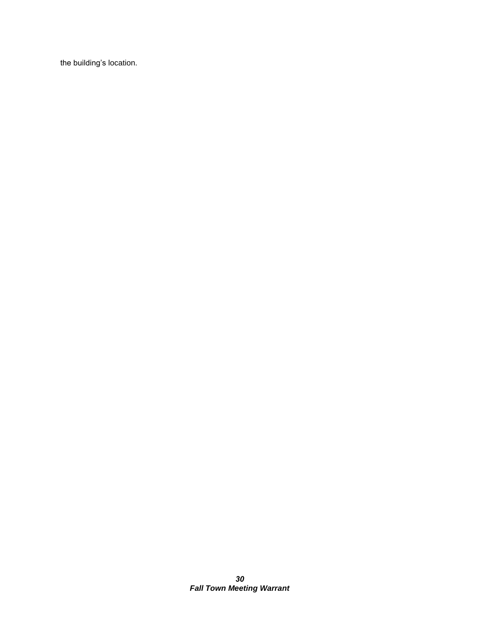the building's location.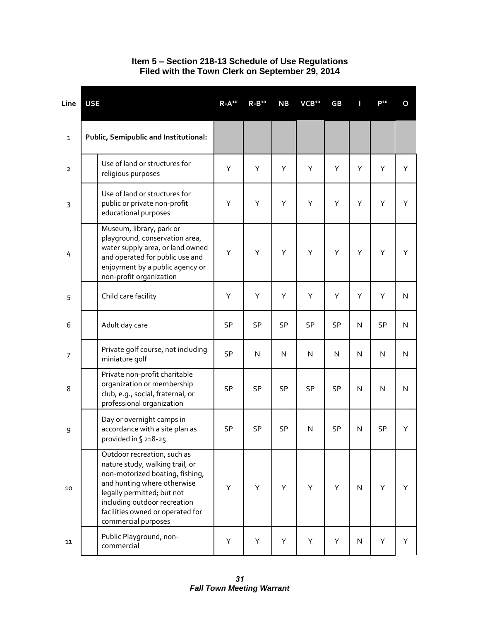| Line           | <b>USE</b> |                                                                                                                                                                                                                                                           | $R-A^{10}$ | $R - B10$    | <b>NB</b>    | VCB <sup>10</sup> | GB           | Π            | <b>P10</b> | O            |
|----------------|------------|-----------------------------------------------------------------------------------------------------------------------------------------------------------------------------------------------------------------------------------------------------------|------------|--------------|--------------|-------------------|--------------|--------------|------------|--------------|
| $\mathbf{1}$   |            | Public, Semipublic and Institutional:                                                                                                                                                                                                                     |            |              |              |                   |              |              |            |              |
| $\overline{2}$ |            | Use of land or structures for<br>religious purposes                                                                                                                                                                                                       | Υ          | Υ            | Y            | Υ                 | Υ            | Y            | Y          | Y            |
| 3              |            | Use of land or structures for<br>public or private non-profit<br>educational purposes                                                                                                                                                                     | Υ          | Υ            | Υ            | Υ                 | Υ            | Υ            | Υ          | Y            |
| 4              |            | Museum, library, park or<br>playground, conservation area,<br>water supply area, or land owned<br>and operated for public use and<br>enjoyment by a public agency or<br>non-profit organization                                                           | Υ          | Υ            | Υ            | Υ                 | Υ            | Υ            | Υ          | Y            |
| 5              |            | Child care facility                                                                                                                                                                                                                                       | Υ          | Υ            | Υ            | Υ                 | Υ            | Υ            | Υ          | $\mathsf{N}$ |
| 6              |            | Adult day care                                                                                                                                                                                                                                            | <b>SP</b>  | <b>SP</b>    | <b>SP</b>    | <b>SP</b>         | SP           | N            | <b>SP</b>  | N            |
| 7              |            | Private golf course, not including<br>miniature golf                                                                                                                                                                                                      | SP         | $\mathsf{N}$ | $\mathsf{N}$ | ${\sf N}$         | $\mathsf{N}$ | $\mathsf{N}$ | N          | $\mathsf{N}$ |
| 8              |            | Private non-profit charitable<br>organization or membership<br>club, e.g., social, fraternal, or<br>professional organization                                                                                                                             | SP         | SP           | SP           | SP                | SP           | N            | N          | $\mathsf{N}$ |
| 9              |            | Day or overnight camps in<br>accordance with a site plan as<br>provided in § 218-25                                                                                                                                                                       | <b>SP</b>  | SP           | SP           | N                 | SP           | N            | SP         | Υ            |
| 10             |            | Outdoor recreation, such as<br>nature study, walking trail, or<br>non-motorized boating, fishing,<br>and hunting where otherwise<br>legally permitted; but not<br>including outdoor recreation<br>facilities owned or operated for<br>commercial purposes | Υ          | Υ            | Y            | Υ                 | Υ            | N            | Υ          | Υ            |
| 11             |            | Public Playground, non-<br>commercial                                                                                                                                                                                                                     | Υ          | Υ            | Y            | Υ                 | Υ            | N            | Υ          | Y            |

#### **Item 5 – Section 218-13 Schedule of Use Regulations Filed with the Town Clerk on September 29, 2014**

*31 Fall Town Meeting Warrant*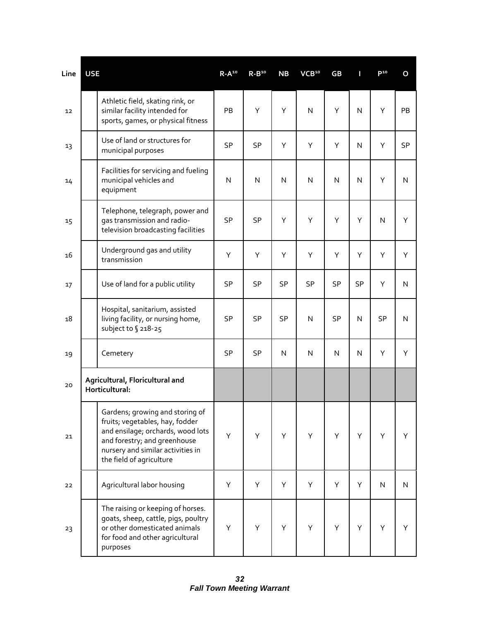| Line | <b>USE</b> |                                                                                                                                                                                                          | $R - A^{10}$ | $R - B10$ | <b>NB</b>    | VCB <sup>10</sup> | GB           | П         | $P^{10}$     | O         |
|------|------------|----------------------------------------------------------------------------------------------------------------------------------------------------------------------------------------------------------|--------------|-----------|--------------|-------------------|--------------|-----------|--------------|-----------|
| 12   |            | Athletic field, skating rink, or<br>similar facility intended for<br>sports, games, or physical fitness                                                                                                  | PB           | Υ         | Υ            | $\mathsf{N}$      | Υ            | N         | Υ            | <b>PB</b> |
| 13   |            | Use of land or structures for<br>municipal purposes                                                                                                                                                      | SP           | SP        | Υ            | Υ                 | Υ            | N         | Υ            | SP        |
| 14   |            | Facilities for servicing and fueling<br>municipal vehicles and<br>equipment                                                                                                                              | N            | N         | N            | N                 | $\mathsf{N}$ | N         | Υ            | N         |
| 15   |            | Telephone, telegraph, power and<br>gas transmission and radio-<br>television broadcasting facilities                                                                                                     | SP           | <b>SP</b> | Υ            | Υ                 | Υ            | Υ         | $\mathsf{N}$ | Υ         |
| 16   |            | Underground gas and utility<br>transmission                                                                                                                                                              | Υ            | Υ         | Υ            | Υ                 | Υ            | Υ         | Y            | Y         |
| 17   |            | Use of land for a public utility                                                                                                                                                                         | SP           | <b>SP</b> | <b>SP</b>    | SP                | SP           | <b>SP</b> | Υ            | N         |
| 18   |            | Hospital, sanitarium, assisted<br>living facility, or nursing home,<br>subject to § 218-25                                                                                                               | SP           | SP        | SP           | $\mathsf{N}$      | SP           | N         | <b>SP</b>    | N         |
| 19   |            | Cemetery                                                                                                                                                                                                 | SP           | SP        | $\mathsf{N}$ | N                 | N            | N         | Y            | Y         |
| 20   |            | Agricultural, Floricultural and<br>Horticultural:                                                                                                                                                        |              |           |              |                   |              |           |              |           |
| 21   |            | Gardens; growing and storing of<br>fruits, vegetables, hay, fodder<br>and ensilage; orchards, wood lots<br>and forestry; and greenhouse<br>nursery and similar activities in<br>the field of agriculture | Υ            | Υ         | Y            | Υ                 | Υ            | Y         | Υ            | Y         |
| 22   |            | Agricultural labor housing                                                                                                                                                                               | Υ            | Υ         | Υ            | Υ                 | Υ            | Y         | ${\sf N}$    | N.        |
| 23   |            | The raising or keeping of horses.<br>goats, sheep, cattle, pigs, poultry<br>or other domesticated animals<br>for food and other agricultural<br>purposes                                                 | Υ            | Υ         | Υ            | Υ                 | Υ            | Υ         | Υ            | Y         |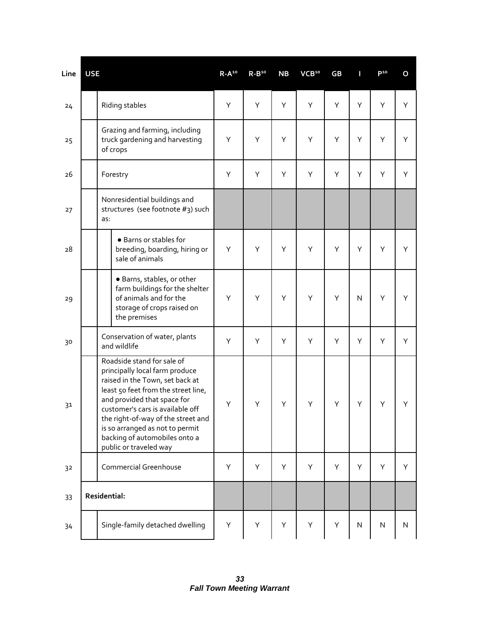| Line | <b>USE</b> |                                                                                                                                                                                                                                                                                                                                               | $R - A^{10}$ | $R - B10$ | <b>NB</b> | VCB <sup>10</sup> | GB | Π | P <sup>10</sup> | O         |
|------|------------|-----------------------------------------------------------------------------------------------------------------------------------------------------------------------------------------------------------------------------------------------------------------------------------------------------------------------------------------------|--------------|-----------|-----------|-------------------|----|---|-----------------|-----------|
| 24   |            | Riding stables                                                                                                                                                                                                                                                                                                                                | Υ            | Υ         | Υ         | Υ                 | Υ  | Υ | Υ               | Y         |
| 25   |            | Grazing and farming, including<br>truck gardening and harvesting<br>of crops                                                                                                                                                                                                                                                                  | Υ            | Υ         | Υ         | Υ                 | Υ  | Υ | Υ               | Υ         |
| 26   |            | Forestry                                                                                                                                                                                                                                                                                                                                      | Υ            | Υ         | Υ         | Υ                 | Υ  | Υ | Υ               | Υ         |
| 27   |            | Nonresidential buildings and<br>structures (see footnote #3) such<br>as:                                                                                                                                                                                                                                                                      |              |           |           |                   |    |   |                 |           |
| 28   |            | • Barns or stables for<br>breeding, boarding, hiring or<br>sale of animals                                                                                                                                                                                                                                                                    | Υ            | Y         | Y         | Υ                 | Υ  | Y | Υ               | Y         |
| 29   |            | · Barns, stables, or other<br>farm buildings for the shelter<br>of animals and for the<br>storage of crops raised on<br>the premises                                                                                                                                                                                                          | Υ            | Υ         | Υ         | Υ                 | Υ  | N | Υ               | Υ         |
| 30   |            | Conservation of water, plants<br>and wildlife                                                                                                                                                                                                                                                                                                 | Υ            | Υ         | Υ         | Υ                 | Υ  | Υ | Υ               | Υ         |
| 31   |            | Roadside stand for sale of<br>principally local farm produce<br>raised in the Town, set back at<br>least 50 feet from the street line,<br>and provided that space for<br>customer's cars is available off<br>the right-of-way of the street and<br>is so arranged as not to permit<br>backing of automobiles onto a<br>public or traveled way | Υ            | Υ         | Υ         | Υ                 | Υ  | Υ | Υ               | Y         |
| 32   |            | <b>Commercial Greenhouse</b>                                                                                                                                                                                                                                                                                                                  | Υ            | Υ         | Y         | Υ                 | Υ  | Y | Y               | Y         |
| 33   |            | Residential:                                                                                                                                                                                                                                                                                                                                  |              |           |           |                   |    |   |                 |           |
| 34   |            | Single-family detached dwelling                                                                                                                                                                                                                                                                                                               | Υ            | Υ         | Υ         | Υ                 | Υ  | N | ${\sf N}$       | ${\sf N}$ |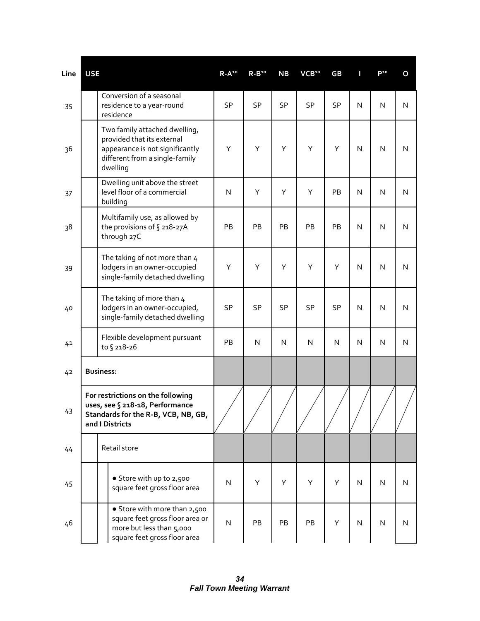| Line | <b>USE</b> |                                                                                                                                              | $R - A^{10}$ | $R - B10$ | <b>NB</b> | VCB <sup>10</sup> | GB        |   | P <sup>10</sup> | O            |
|------|------------|----------------------------------------------------------------------------------------------------------------------------------------------|--------------|-----------|-----------|-------------------|-----------|---|-----------------|--------------|
| 35   |            | Conversion of a seasonal<br>residence to a year-round<br>residence                                                                           | SP           | <b>SP</b> | <b>SP</b> | SP                | <b>SP</b> | N | N               | N            |
| 36   |            | Two family attached dwelling,<br>provided that its external<br>appearance is not significantly<br>different from a single-family<br>dwelling | Υ            | Υ         | Υ         | Υ                 | Υ         | N | N               | $\mathsf{N}$ |
| 37   |            | Dwelling unit above the street<br>level floor of a commercial<br>building                                                                    | N            | Υ         | Υ         | Υ                 | PB        | N | N               | $\mathsf{N}$ |
| 38   |            | Multifamily use, as allowed by<br>the provisions of § 218-27A<br>through 27C                                                                 | PB           | PB        | PB        | PB                | PB        | N | $\mathsf{N}$    | $\mathsf{N}$ |
| 39   |            | The taking of not more than 4<br>lodgers in an owner-occupied<br>single-family detached dwelling                                             | Υ            | Υ         | Υ         | Υ                 | Υ         | N | $\mathsf{N}$    | $\mathsf{N}$ |
| 40   |            | The taking of more than 4<br>lodgers in an owner-occupied,<br>single-family detached dwelling                                                | <b>SP</b>    | <b>SP</b> | <b>SP</b> | SP                | <b>SP</b> | N | $\mathsf{N}$    | $\mathsf{N}$ |
| 41   |            | Flexible development pursuant<br>to § 218-26                                                                                                 | PB           | N         | N         | $\mathsf{N}$      | N         | N | $\mathsf{N}$    | $\mathsf{N}$ |
| 42   |            | <b>Business:</b>                                                                                                                             |              |           |           |                   |           |   |                 |              |
| 43   |            | For restrictions on the following<br>uses, see § 218-18, Performance<br>Standards for the R-B, VCB, NB, GB,<br>and I Districts               |              |           |           |                   |           |   |                 |              |
| 44   |            | Retail store                                                                                                                                 |              |           |           |                   |           |   |                 |              |
| 45   |            | • Store with up to 2,500<br>square feet gross floor area                                                                                     | ${\sf N}$    | Υ         | Y         | Y                 | Y         | N | N               | $\mathsf{N}$ |
| 46   |            | • Store with more than 2,500<br>square feet gross floor area or<br>more but less than 5,000<br>square feet gross floor area                  | ${\sf N}$    | PB        | PB        | PB                | Υ         | N | $\mathsf{N}$    | $\mathsf{N}$ |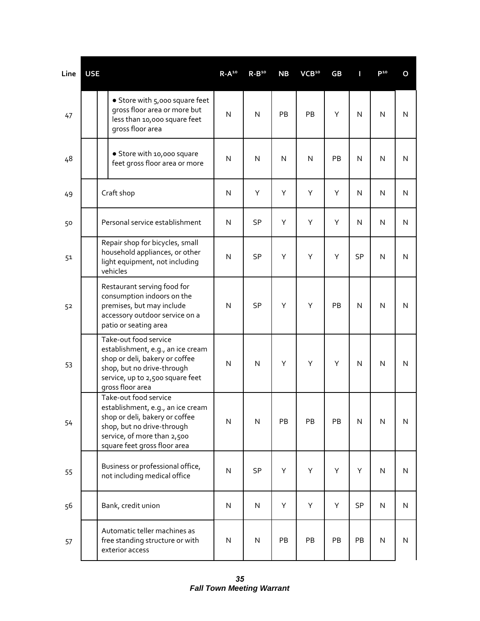| Line | <b>USE</b> |                                                                                                                                                                                           | $R - A^{10}$ | $R - B10$    | <b>NB</b>    | VCB <sup>10</sup> | GB | П            | P <sub>10</sub> | O            |
|------|------------|-------------------------------------------------------------------------------------------------------------------------------------------------------------------------------------------|--------------|--------------|--------------|-------------------|----|--------------|-----------------|--------------|
| 47   |            | • Store with 5,000 square feet<br>gross floor area or more but<br>less than 10,000 square feet<br>gross floor area                                                                        | N            | N            | PB           | PB                | Υ  | N            | $\mathsf{N}$    | N            |
| 48   |            | · Store with 10,000 square<br>feet gross floor area or more                                                                                                                               | N            | N            | $\mathsf{N}$ | $\mathsf{N}$      | PB | N            | N               | N            |
| 49   |            | Craft shop                                                                                                                                                                                | $\mathsf{N}$ | Υ            | Υ            | Υ                 | Υ  | N            | $\mathsf{N}$    | N            |
| 50   |            | Personal service establishment                                                                                                                                                            | $\mathsf{N}$ | <b>SP</b>    | Y            | Υ                 | Υ  | N            | N               | $\mathsf{N}$ |
| 51   |            | Repair shop for bicycles, small<br>household appliances, or other<br>light equipment, not including<br>vehicles                                                                           | $\mathsf{N}$ | SP           | Υ            | Υ                 | Υ  | <b>SP</b>    | $\mathsf{N}$    | N            |
| 52   |            | Restaurant serving food for<br>consumption indoors on the<br>premises, but may include<br>accessory outdoor service on a<br>patio or seating area                                         | $\mathsf{N}$ | SP           | Υ            | Υ                 | PB | N            | N               | N            |
| 53   |            | Take-out food service<br>establishment, e.g., an ice cream<br>shop or deli, bakery or coffee<br>shop, but no drive-through<br>service, up to 2,500 square feet<br>gross floor area        | $\mathsf{N}$ | $\mathsf{N}$ | Y            | Y                 | Υ  | $\mathsf{N}$ | N               | $\mathsf{N}$ |
| 54   |            | Take-out food service<br>establishment, e.g., an ice cream<br>shop or deli, bakery or coffee<br>shop, but no drive-through<br>service, of more than 2,500<br>square feet gross floor area | $\mathsf{N}$ | ${\sf N}$    | PB           | PB                | PB | N            | N               | N            |
| 55   |            | Business or professional office,<br>not including medical office                                                                                                                          | $\mathsf{N}$ | SP           | Υ            | Υ                 | Υ  | Υ            | ${\sf N}$       | N            |
| 56   |            | Bank, credit union                                                                                                                                                                        | ${\sf N}$    | N            | Υ            | Υ                 | Υ  | <b>SP</b>    | N               | N            |
| 57   |            | Automatic teller machines as<br>free standing structure or with<br>exterior access                                                                                                        | ${\sf N}$    | ${\sf N}$    | PB           | PB                | PB | PB           | ${\sf N}$       | $\mathsf{N}$ |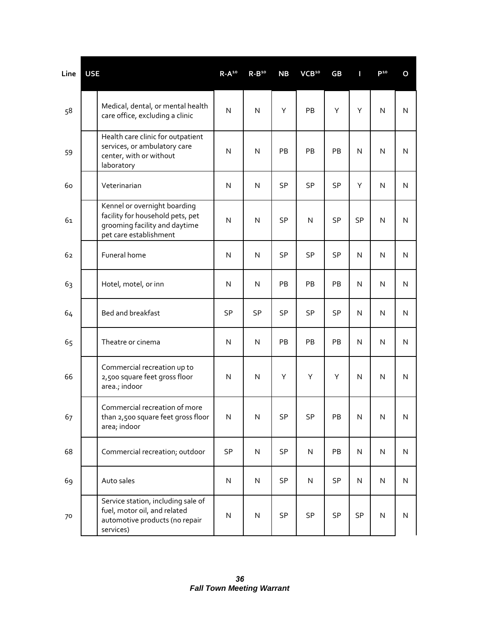| Line | <b>USE</b>                                                                                                                  | $R - A^{10}$            | $R - B10$ | <b>NB</b> | VCB <sup>10</sup> | GB        | П            | P <sup>10</sup> | O            |
|------|-----------------------------------------------------------------------------------------------------------------------------|-------------------------|-----------|-----------|-------------------|-----------|--------------|-----------------|--------------|
| 58   | Medical, dental, or mental health<br>care office, excluding a clinic                                                        | $\overline{\mathsf{N}}$ | N         | Υ         | PB                | Υ         | Y            | N               | N            |
| 59   | Health care clinic for outpatient<br>services, or ambulatory care<br>center, with or without<br>laboratory                  | $\mathsf{N}$            | N         | PB        | PB                | PB        | N            | $\mathsf{N}$    | $\mathsf{N}$ |
| 60   | Veterinarian                                                                                                                | $\mathsf{N}$            | ${\sf N}$ | <b>SP</b> | SP                | <b>SP</b> | Y            | $\mathsf{N}$    | $\mathsf{N}$ |
| 61   | Kennel or overnight boarding<br>facility for household pets, pet<br>grooming facility and daytime<br>pet care establishment | N                       | N         | SP        | $\mathsf{N}$      | SP        | <b>SP</b>    | $\mathsf{N}$    | N            |
| 62   | Funeral home                                                                                                                | N                       | ${\sf N}$ | <b>SP</b> | SP                | SP        | N            | $\mathsf{N}$    | $\mathsf{N}$ |
| 63   | Hotel, motel, or inn                                                                                                        | N                       | N         | <b>PB</b> | <b>PB</b>         | PB        | N            | N               | N            |
| 64   | Bed and breakfast                                                                                                           | SP                      | SP        | <b>SP</b> | <b>SP</b>         | SP        | N            | $\mathsf{N}$    | N            |
| 65   | Theatre or cinema                                                                                                           | $\mathsf{N}$            | ${\sf N}$ | PB        | PB                | PB        | N            | ${\sf N}$       | $\mathsf{N}$ |
| 66   | Commercial recreation up to<br>2,500 square feet gross floor<br>area.; indoor                                               | $\mathsf{N}$            | N         | Υ         | Υ                 | Υ         | $\mathsf{N}$ | N               | $\mathsf{N}$ |
| 67   | Commercial recreation of more<br>than 2,500 square feet gross floor<br>area; indoor                                         | ${\sf N}$               | N         | SP        | SP                | PB        | ${\sf N}$    | ${\sf N}$       | N            |
| 68   | Commercial recreation; outdoor                                                                                              | SP                      | ${\sf N}$ | SP        | ${\sf N}$         | PB        | ${\sf N}$    | ${\sf N}$       | ${\sf N}$    |
| 69   | Auto sales                                                                                                                  | ${\sf N}$               | N         | SP        | $\mathsf{N}$      | <b>SP</b> | ${\sf N}$    | ${\sf N}$       | N            |
| 70   | Service station, including sale of<br>fuel, motor oil, and related<br>automotive products (no repair<br>services)           | ${\sf N}$               | N         | SP        | SP                | SP        | SP           | ${\sf N}$       | ${\sf N}$    |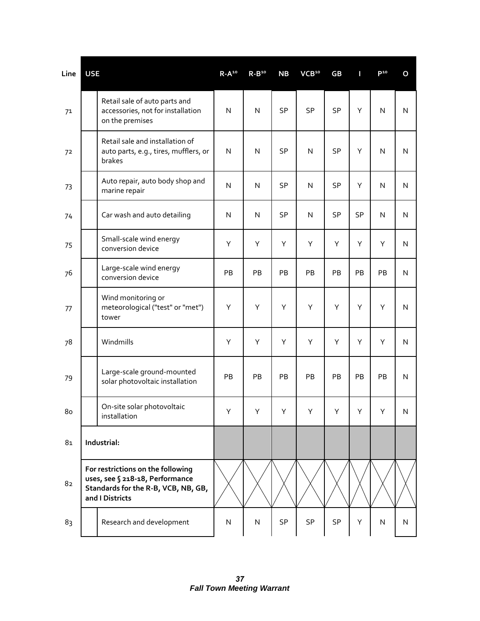| Line | <b>USE</b> |                                                                                                                                | $R - A^{10}$ | $R - B10$               | NB        | VCB <sup>10</sup> | <b>GB</b> | П         | P <sub>10</sub> | O            |
|------|------------|--------------------------------------------------------------------------------------------------------------------------------|--------------|-------------------------|-----------|-------------------|-----------|-----------|-----------------|--------------|
| 71   |            | Retail sale of auto parts and<br>accessories, not for installation<br>on the premises                                          | N            | ${\sf N}$               | <b>SP</b> | SP                | SP        | Y         | $\mathsf{N}$    | N            |
| 72   |            | Retail sale and installation of<br>auto parts, e.g., tires, mufflers, or<br>brakes                                             | $\mathsf{N}$ | $\mathsf{N}$            | <b>SP</b> | $\mathsf{N}$      | SP        | Υ         | ${\sf N}$       | N            |
| 73   |            | Auto repair, auto body shop and<br>marine repair                                                                               | N            | $\overline{\mathsf{N}}$ | <b>SP</b> | $\mathsf{N}$      | SP        | Υ         | $\mathsf{N}$    | N            |
| 74   |            | Car wash and auto detailing                                                                                                    | N            | ${\sf N}$               | SP        | ${\sf N}$         | SP        | <b>SP</b> | N               | $\mathsf{N}$ |
| 75   |            | Small-scale wind energy<br>conversion device                                                                                   | Υ            | Υ                       | Υ         | Υ                 | Y         | Y         | Υ               | N            |
| 76   |            | Large-scale wind energy<br>conversion device                                                                                   | PB           | PB                      | PB        | PB                | PB        | PB        | PB              | N            |
| 77   |            | Wind monitoring or<br>meteorological ("test" or "met")<br>tower                                                                | Υ            | Υ                       | Υ         | Υ                 | Υ         | Υ         | Υ               | N            |
| 78   |            | Windmills                                                                                                                      | Υ            | Υ                       | Υ         | Υ                 | Υ         | Υ         | Υ               | N            |
| 79   |            | Large-scale ground-mounted<br>solar photovoltaic installation                                                                  | PB           | PB                      | PB        | PB                | PB        | PB        | PB              | N            |
| 80   |            | On-site solar photovoltaic<br>installation                                                                                     | Y            | Y.                      | Y         | Y                 | Y.        | Y         | Y               | N            |
| 81   |            | Industrial:                                                                                                                    |              |                         |           |                   |           |           |                 |              |
| 82   |            | For restrictions on the following<br>uses, see § 218-18, Performance<br>Standards for the R-B, VCB, NB, GB,<br>and I Districts |              |                         |           |                   |           |           |                 |              |
| 83   |            | Research and development                                                                                                       | N            | $\overline{\mathsf{N}}$ | SP        | SP                | SP        | Υ         | N               | N            |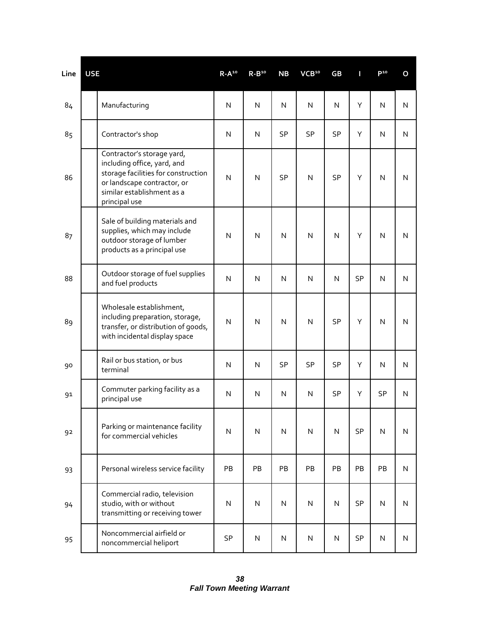| Line | <b>USE</b>                                                                                                                                                                     | $R-A^{10}$   | $R - B10$    | <b>NB</b>    | VCB <sup>10</sup> | GB           | Π         | D <sub>10</sub> | O |
|------|--------------------------------------------------------------------------------------------------------------------------------------------------------------------------------|--------------|--------------|--------------|-------------------|--------------|-----------|-----------------|---|
| 84   | Manufacturing                                                                                                                                                                  | $\mathsf{N}$ | N            | $\mathsf{N}$ | $\mathsf{N}$      | N            | Υ         | $\mathsf{N}$    | N |
| 85   | Contractor's shop                                                                                                                                                              | $\mathsf{N}$ | N            | <b>SP</b>    | SP                | SP           | Y         | $\mathsf{N}$    | N |
| 86   | Contractor's storage yard,<br>including office, yard, and<br>storage facilities for construction<br>or landscape contractor, or<br>similar establishment as a<br>principal use | N            | $\mathsf{N}$ | SP           | $\mathsf{N}$      | SP           | Υ         | $\mathsf{N}$    | N |
| 87   | Sale of building materials and<br>supplies, which may include<br>outdoor storage of lumber<br>products as a principal use                                                      | N            | $\mathsf{N}$ | $\mathsf{N}$ | $\mathsf{N}$      | $\mathsf{N}$ | Y         | $\mathsf{N}$    | N |
| 88   | Outdoor storage of fuel supplies<br>and fuel products                                                                                                                          | $\mathsf{N}$ | $\mathsf{N}$ | N            | N                 | N            | <b>SP</b> | N               | N |
| 89   | Wholesale establishment,<br>including preparation, storage,<br>transfer, or distribution of goods,<br>with incidental display space                                            | N            | $\mathsf{N}$ | $\mathsf{N}$ | $\mathsf{N}$      | SP           | Υ         | $\mathsf{N}$    | N |
| 90   | Rail or bus station, or bus<br>terminal                                                                                                                                        | $\mathsf{N}$ | N            | <b>SP</b>    | SP                | SP           | Y         | $\mathsf{N}$    | N |
| 91   | Commuter parking facility as a<br>principal use                                                                                                                                | $\mathsf{N}$ | N            | N            | $\mathsf{N}$      | <b>SP</b>    | Y         | SP              | N |
| 92   | Parking or maintenance facility<br>for commercial vehicles                                                                                                                     | N            | N            | N            | ${\sf N}$         | N            | <b>SP</b> | $\mathsf{N}$    | N |
| 93   | Personal wireless service facility                                                                                                                                             | PB           | PB           | PB           | PB                | PB           | PB        | PB              | N |
| 94   | Commercial radio, television<br>studio, with or without<br>transmitting or receiving tower                                                                                     | ${\sf N}$    | ${\sf N}$    | ${\sf N}$    | $\mathsf{N}$      | ${\sf N}$    | <b>SP</b> | ${\sf N}$       | N |
| 95   | Noncommercial airfield or<br>noncommercial heliport                                                                                                                            | SP           | ${\sf N}$    | $\mathsf{N}$ | N                 | N            | <b>SP</b> | ${\sf N}$       | N |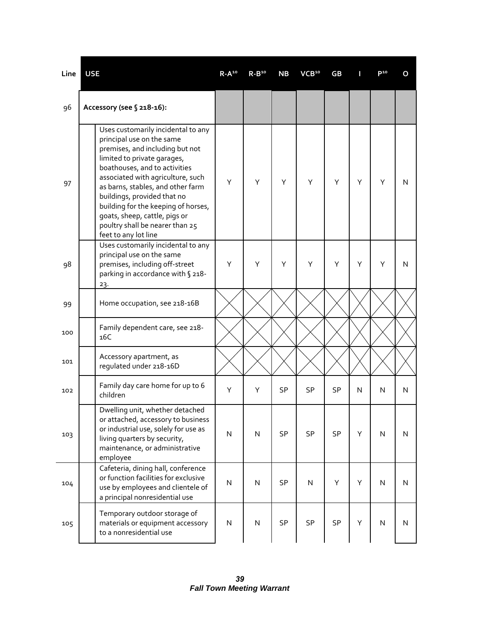| Line | <b>USE</b>                                                                                                                                                                                                                                                                                                                                                                                                     | $R-A^{10}$ | $R-B^{10}$   | <b>NB</b> | VCB <sup>10</sup> | GB        |   | P <sup>10</sup>         | O            |
|------|----------------------------------------------------------------------------------------------------------------------------------------------------------------------------------------------------------------------------------------------------------------------------------------------------------------------------------------------------------------------------------------------------------------|------------|--------------|-----------|-------------------|-----------|---|-------------------------|--------------|
| 96   | Accessory (see § 218-16):                                                                                                                                                                                                                                                                                                                                                                                      |            |              |           |                   |           |   |                         |              |
| 97   | Uses customarily incidental to any<br>principal use on the same<br>premises, and including but not<br>limited to private garages,<br>boathouses, and to activities<br>associated with agriculture, such<br>as barns, stables, and other farm<br>buildings, provided that no<br>building for the keeping of horses,<br>goats, sheep, cattle, pigs or<br>poultry shall be nearer than 25<br>feet to any lot line | Υ          | Υ            | Υ         | Y                 | Υ         | Υ | Υ                       | N            |
| 98   | Uses customarily incidental to any<br>principal use on the same<br>premises, including off-street<br>parking in accordance with § 218-<br>23.                                                                                                                                                                                                                                                                  | Υ          | Y            | Υ         | Y                 | Y         | Υ | Y                       | N            |
| 99   | Home occupation, see 218-16B                                                                                                                                                                                                                                                                                                                                                                                   |            |              |           |                   |           |   |                         |              |
| 100  | Family dependent care, see 218-<br>16C                                                                                                                                                                                                                                                                                                                                                                         |            |              |           |                   |           |   |                         |              |
| 101  | Accessory apartment, as<br>regulated under 218-16D                                                                                                                                                                                                                                                                                                                                                             |            |              |           |                   |           |   |                         |              |
| 102  | Family day care home for up to 6<br>children                                                                                                                                                                                                                                                                                                                                                                   | Υ          | Υ            | <b>SP</b> | <b>SP</b>         | <b>SP</b> | N | N                       | N            |
| 103  | Dwelling unit, whether detached<br>or attached, accessory to business<br>or industrial use, solely for use as<br>living quarters by security,<br>maintenance, or administrative<br>employee                                                                                                                                                                                                                    | ${\sf N}$  | $\mathsf{N}$ | SP        | SP                | SP        | Y | $\mathsf{N}$            | N            |
| 104  | Cafeteria, dining hall, conference<br>or function facilities for exclusive<br>use by employees and clientele of<br>a principal nonresidential use                                                                                                                                                                                                                                                              | ${\sf N}$  | $\mathsf{N}$ | SP        | N                 | Υ         | Y | $\mathsf{N}$            | ${\sf N}$    |
| 105  | Temporary outdoor storage of<br>materials or equipment accessory<br>to a nonresidential use                                                                                                                                                                                                                                                                                                                    | N          | ${\sf N}$    | SP        | SP                | SP        | Υ | $\overline{\mathsf{N}}$ | $\mathsf{N}$ |